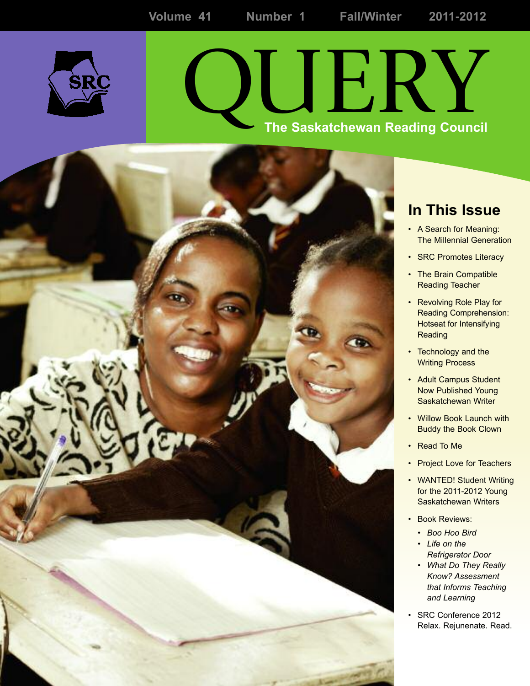

# QUERY **The Saskatchewan Reading Council**



- A Search for Meaning: The Millennial Generation
- SRC Promotes Literacy
- The Brain Compatible Reading Teacher
- Revolving Role Play for Reading Comprehension: Hotseat for Intensifying **Reading**
- Technology and the Writing Process
- Adult Campus Student Now Published Young Saskatchewan Writer
- Willow Book Launch with Buddy the Book Clown
- Read To Me
- Project Love for Teachers
- WANTED! Student Writing for the 2011-2012 Young Saskatchewan Writers
- Book Reviews:
	- *Boo Hoo Bird*
	- *Life on the Refrigerator Door*
	- *What Do They Really Know? Assessment that Informs Teaching and Learning*
- *•* SRC Conference 2012 Relax. Rejunenate. Read.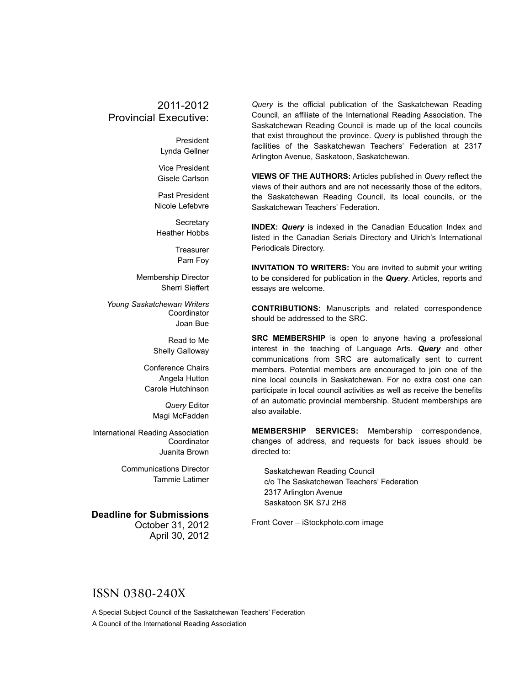### 2011-2012 Provincial Executive:

President Lynda Gellner

Vice President Gisele Carlson

Past President Nicole Lefebvre

**Secretary** Heather Hobbs

> **Treasurer** Pam Foy

Membership Director Sherri Sieffert

*Young Saskatchewan Writers* **Coordinator** Joan Bue

> Read to Me Shelly Galloway

Conference Chairs Angela Hutton Carole Hutchinson

> *Query* Editor Magi McFadden

International Reading Association **Coordinator** Juanita Brown

> Communications Director Tammie Latimer

#### **Deadline for Submissions**

October 31, 2012 April 30, 2012

*Query* is the official publication of the Saskatchewan Reading Council, an affiliate of the International Reading Association. The Saskatchewan Reading Council is made up of the local councils that exist throughout the province. *Query* is published through the facilities of the Saskatchewan Teachers' Federation at 2317 Arlington Avenue, Saskatoon, Saskatchewan.

**VIEWS OF THE AUTHORS:** Articles published in *Query* reflect the views of their authors and are not necessarily those of the editors, the Saskatchewan Reading Council, its local councils, or the Saskatchewan Teachers' Federation.

**INDEX:** *Query* is indexed in the Canadian Education Index and listed in the Canadian Serials Directory and Ulrich's International Periodicals Directory.

**INVITATION TO WRITERS:** You are invited to submit your writing to be considered for publication in the *Query*. Articles, reports and essays are welcome.

**CONTRIBUTIONS:** Manuscripts and related correspondence should be addressed to the SRC.

**SRC MEMBERSHIP** is open to anyone having a professional interest in the teaching of Language Arts. *Query* and other communications from SRC are automatically sent to current members. Potential members are encouraged to join one of the nine local councils in Saskatchewan. For no extra cost one can participate in local council activities as well as receive the benefits of an automatic provincial membership. Student memberships are also available.

**MEMBERSHIP SERVICES:** Membership correspondence, changes of address, and requests for back issues should be directed to:

Saskatchewan Reading Council c/o The Saskatchewan Teachers' Federation 2317 Arlington Avenue Saskatoon SK S7J 2H8

Front Cover – iStockphoto.com image

### ISSN 0380-240X

A Special Subject Council of the Saskatchewan Teachers' Federation A Council of the International Reading Association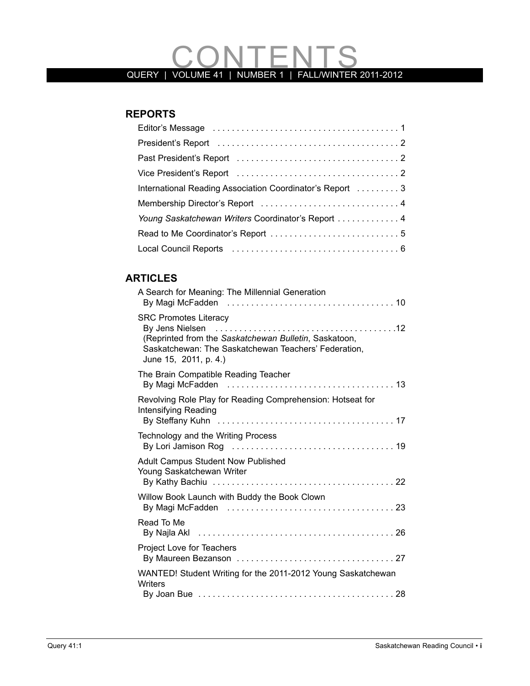# QUERY | VOLUME 41 | NUMBER 1 | FALLWINTER 2011-2012

## **REPORTS**

| International Reading Association Coordinator's Report  3 |
|-----------------------------------------------------------|
|                                                           |
| Young Saskatchewan Writers Coordinator's Report  4        |
|                                                           |
|                                                           |

## **ARTIClES**

| A Search for Meaning: The Millennial Generation                                                                                                                        |
|------------------------------------------------------------------------------------------------------------------------------------------------------------------------|
| <b>SRC Promotes Literacy</b><br>(Reprinted from the Saskatchewan Bulletin, Saskatoon,<br>Saskatchewan: The Saskatchewan Teachers' Federation,<br>June 15, 2011, p. 4.) |
| The Brain Compatible Reading Teacher                                                                                                                                   |
| Revolving Role Play for Reading Comprehension: Hotseat for<br>Intensifying Reading                                                                                     |
| Technology and the Writing Process                                                                                                                                     |
| <b>Adult Campus Student Now Published</b><br>Young Saskatchewan Writer                                                                                                 |
| Willow Book Launch with Buddy the Book Clown                                                                                                                           |
| Read To Me                                                                                                                                                             |
| Project Love for Teachers                                                                                                                                              |
| WANTED! Student Writing for the 2011-2012 Young Saskatchewan<br>Writers                                                                                                |
|                                                                                                                                                                        |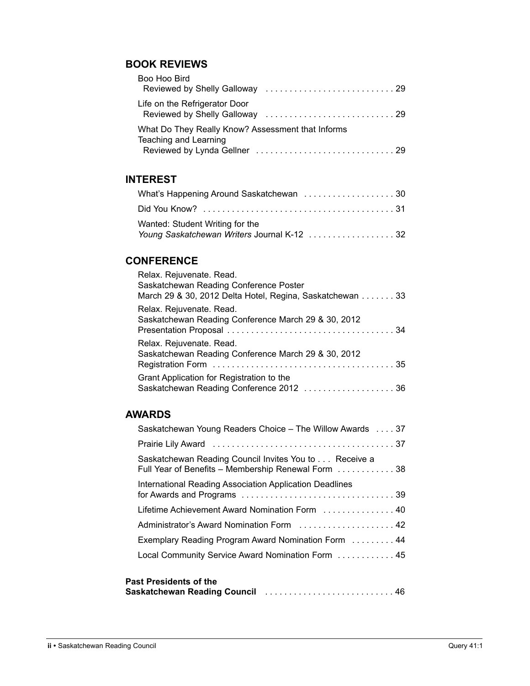### **BOOk REVIEWS**

| Boo Hoo Bird                                                               |  |
|----------------------------------------------------------------------------|--|
| Life on the Refrigerator Door                                              |  |
| What Do They Really Know? Assessment that Informs<br>Teaching and Learning |  |

### **INTEREST**

| What's Happening Around Saskatchewan 30     |  |
|---------------------------------------------|--|
|                                             |  |
| Wanted: Student Writing for the             |  |
| Young Saskatchewan Writers Journal K-12  32 |  |

### **CONFERENCE**

| Relax. Rejuvenate. Read.<br>Saskatchewan Reading Conference Poster<br>March 29 & 30, 2012 Delta Hotel, Regina, Saskatchewan 33 |
|--------------------------------------------------------------------------------------------------------------------------------|
| Relax. Rejuvenate. Read.<br>Saskatchewan Reading Conference March 29 & 30, 2012                                                |
| Relax. Rejuvenate. Read.<br>Saskatchewan Reading Conference March 29 & 30, 2012                                                |
| Grant Application for Registration to the                                                                                      |

### **AWARDS**

| Saskatchewan Young Readers Choice – The Willow Awards 37                                                     |
|--------------------------------------------------------------------------------------------------------------|
|                                                                                                              |
| Saskatchewan Reading Council Invites You to Receive a<br>Full Year of Benefits – Membership Renewal Form  38 |
| International Reading Association Application Deadlines                                                      |
| Lifetime Achievement Award Nomination Form  40                                                               |
| Administrator's Award Nomination Form  42                                                                    |
| Exemplary Reading Program Award Nomination Form  44                                                          |
| Local Community Service Award Nomination Form  45                                                            |
| <b>Past Presidents of the</b>                                                                                |

| PASI PICSIUCIIIS UI IIIC |  |
|--------------------------|--|
|                          |  |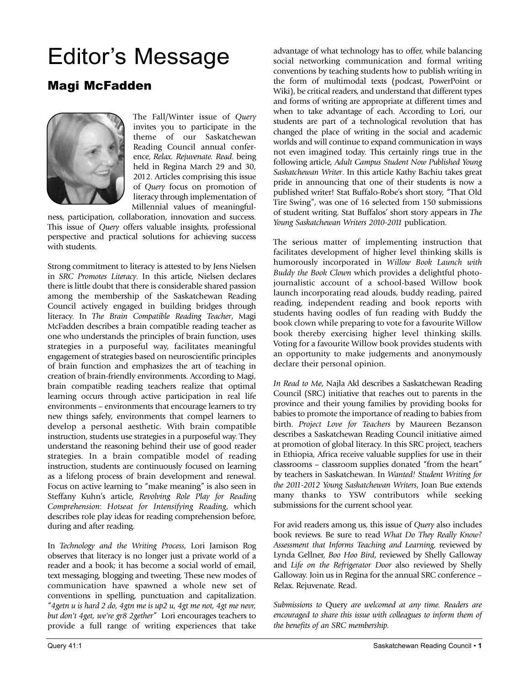# Editor's Message

# Magi McFadden



The Fall/Winter issue of *Query* invites you to participate in the theme of our Saskatchewan Reading Council annual conference, *Relax. Rejuvenate. Read*. being held in Regina March 29 and 30, 2012. Articles comprising this issue of *Query* focus on promotion of literacy through implementation of Millennial values of meaningful-

ness, participation, collaboration, innovation and success. This issue of *Query* offers valuable insights, professional perspective and practical solutions for achieving success with students.

Strong commitment to literacy is attested to by Jens Nielsen in *SRC Promotes Literacy*. In this article, Nielsen declares there is little doubt that there is considerable shared passion among the membership of the Saskatchewan Reading Council actively engaged in building bridges through literacy. In *The Brain Compatible Reading Teacher*, Magi McFadden describes a brain compatible reading teacher as one who understands the principles of brain function, uses strategies in a purposeful way, facilitates meaningful engagement of strategies based on neuroscientific principles of brain function and emphasizes the art of teaching in creation of brain-friendly environments. According to Magi, brain compatible reading teachers realize that optimal learning occurs through active participation in real life environments – environments that encourage learners to try new things safely, environments that compel learners to develop a personal aesthetic. With brain compatible instruction, students use strategies in a purposeful way. They understand the reasoning behind their use of good reader strategies. In a brain compatible model of reading instruction, students are continuously focused on learning as a lifelong process of brain development and renewal. Focus on active learning to "make meaning" is also seen in Steffany Kuhn's article, *Revolving Role Play for Reading Comprehension*: *Hotseat for Intensifying Reading*, which describes role play ideas for reading comprehension before, during and after reading.

In *Technology and the Writing Process*, Lori Jamison Rog observes that literacy is no longer just a private world of a reader and a book; it has become a social world of email, text messaging, blogging and tweeting. These new modes of communication have spawned a whole new set of conventions in spelling, punctuation and capitalization. "*4getn u is hard 2 do, 4gtn me is up2 u, 4gt me not, 4gt me nevr, but don't 4get, we're gr8 2gether*" Lori encourages teachers to provide a full range of writing experiences that take advantage of what technology has to offer, while balancing social networking communication and formal writing conventions by teaching students how to publish writing in the form of multimodal texts (podcast, PowerPoint or Wiki), be critical readers, and understand that different types and forms of writing are appropriate at different times and when to take advantage of each. According to Lori, our students are part of a technological revolution that has changed the place of writing in the social and academic worlds and will continue to expand communication in ways not even imagined today. This certainly rings true in the following article, *Adult Campus Student Now Published Young Saskatchewan Writer*. In this article Kathy Bachiu takes great pride in announcing that one of their students is now a published writer! Stat Buffalo-Robe's short story, "That Old Tire Swing", was one of 16 selected from 150 submissions of student writing. Stat Buffalos' short story appears in *The Young Saskatchewan Writers 2010-2011* publication.

The serious matter of implementing instruction that facilitates development of higher level thinking skills is humorously incorporated in *Willow Book Launch with Buddy the Book Clown* which provides a delightful photojournalistic account of a school-based Willow book launch incorporating read alouds, buddy reading, paired reading, independent reading and book reports with students having oodles of fun reading with Buddy the book clown while preparing to vote for a favourite Willow book thereby exercising higher level thinking skills. Voting for a favourite Willow book provides students with an opportunity to make judgements and anonymously declare their personal opinion.

*In Read to Me*, Najla Akl describes a Saskatchewan Reading Council (SRC) initiative that reaches out to parents in the province and their young families by providing books for babies to promote the importance of reading to babies from birth. *Project Love for Teachers* by Maureen Bezanson describes a Saskatchewan Reading Council initiative aimed at promotion of global literacy. In this SRC project, teachers in Ethiopia, Africa receive valuable supplies for use in their classrooms – classroom supplies donated "from the heart" by teachers in Saskatchewan. In *Wanted! Student Writing for the 2011-2012 Young Saskatchewan Writers*, Joan Bue extends many thanks to YSW contributors while seeking submissions for the current school year.

For avid readers among us, this issue of *Query* also includes book reviews. Be sure to read *What Do They Really Know? Assessment that Informs Teaching and Learning*, reviewed by Lynda Gellner, *Boo Hoo Bird*, reviewed by Shelly Galloway and *Life on the Refrigerator Door* also reviewed by Shelly Galloway. Join us in Regina for the annual SRC conference – Relax. Rejuvenate. Read.

*Submissions to* Query *are welcomed at any time. Readers are encouraged to share this issue with colleagues to inform them of the benefits of an SRC membership.*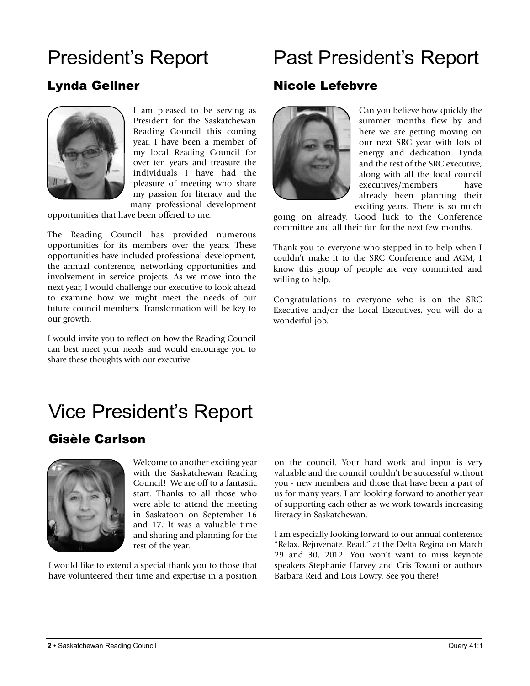# President's Report

# Lynda Gellner



I am pleased to be serving as President for the Saskatchewan Reading Council this coming year. I have been a member of my local Reading Council for over ten years and treasure the individuals I have had the pleasure of meeting who share my passion for literacy and the many professional development

opportunities that have been offered to me.

The Reading Council has provided numerous opportunities for its members over the years. These opportunities have included professional development, the annual conference, networking opportunities and involvement in service projects. As we move into the next year, I would challenge our executive to look ahead to examine how we might meet the needs of our future council members. Transformation will be key to our growth.

I would invite you to reflect on how the Reading Council can best meet your needs and would encourage you to share these thoughts with our executive.

# Past President's Report

## Nicole Lefebvre



Can you believe how quickly the summer months flew by and here we are getting moving on our next SRC year with lots of energy and dedication. Lynda and the rest of the SRC executive, along with all the local council executives/members have already been planning their exciting years. There is so much

going on already. Good luck to the Conference committee and all their fun for the next few months.

Thank you to everyone who stepped in to help when I couldn't make it to the SRC Conference and AGM, I know this group of people are very committed and willing to help.

Congratulations to everyone who is on the SRC Executive and/or the Local Executives, you will do a wonderful job.

# Vice President's Report

# Gisèle Carlson



Welcome to another exciting year with the Saskatchewan Reading Council! We are off to a fantastic start. Thanks to all those who were able to attend the meeting in Saskatoon on September 16 and 17. It was a valuable time and sharing and planning for the rest of the year.

I would like to extend a special thank you to those that have volunteered their time and expertise in a position

on the council. Your hard work and input is very valuable and the council couldn't be successful without you - new members and those that have been a part of us for many years. I am looking forward to another year of supporting each other as we work towards increasing literacy in Saskatchewan.

I am especially looking forward to our annual conference "Relax. Rejuvenate. Read." at the Delta Regina on March 29 and 30, 2012. You won't want to miss keynote speakers Stephanie Harvey and Cris Tovani or authors Barbara Reid and Lois Lowry. See you there!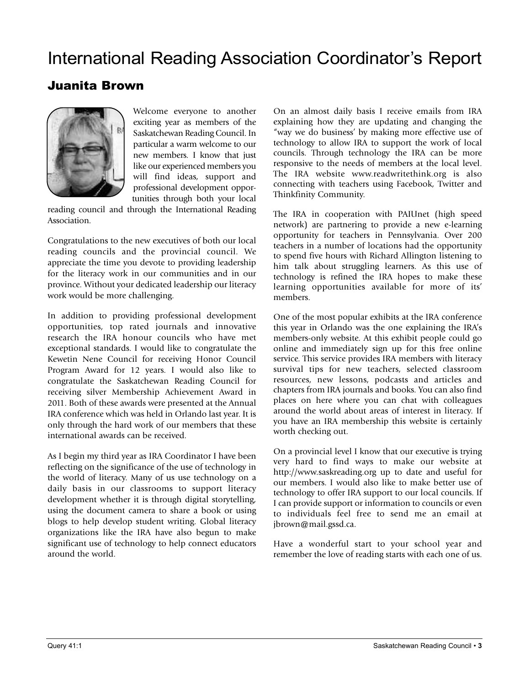# International Reading Association Coordinator's Report

# Juanita Brown



Welcome everyone to another exciting year as members of the Saskatchewan Reading Council. In particular a warm welcome to our new members. I know that just like our experienced members you will find ideas, support and professional development opportunities through both your local

reading council and through the International Reading Association.

Congratulations to the new executives of both our local reading councils and the provincial council. We appreciate the time you devote to providing leadership for the literacy work in our communities and in our province. Without your dedicated leadership our literacy work would be more challenging.

In addition to providing professional development opportunities, top rated journals and innovative research the IRA honour councils who have met exceptional standards. I would like to congratulate the Kewetin Nene Council for receiving Honor Council Program Award for 12 years. I would also like to congratulate the Saskatchewan Reading Council for receiving silver Membership Achievement Award in 2011. Both of these awards were presented at the Annual IRA conference which was held in Orlando last year. It is only through the hard work of our members that these international awards can be received.

As I begin my third year as IRA Coordinator I have been reflecting on the significance of the use of technology in the world of literacy. Many of us use technology on a daily basis in our classrooms to support literacy development whether it is through digital storytelling, using the document camera to share a book or using blogs to help develop student writing. Global literacy organizations like the IRA have also begun to make significant use of technology to help connect educators around the world.

On an almost daily basis I receive emails from IRA explaining how they are updating and changing the "way we do business' by making more effective use of technology to allow IRA to support the work of local councils. Through technology the IRA can be more responsive to the needs of members at the local level. The IRA website www.readwritethink.org is also connecting with teachers using Facebook, Twitter and Thinkfinity Community.

The IRA in cooperation with PAIUnet (high speed network) are partnering to provide a new e-learning opportunity for teachers in Pennsylvania. Over 200 teachers in a number of locations had the opportunity to spend five hours with Richard Allington listening to him talk about struggling learners. As this use of technology is refined the IRA hopes to make these learning opportunities available for more of its' members.

One of the most popular exhibits at the IRA conference this year in Orlando was the one explaining the IRA's members-only website. At this exhibit people could go online and immediately sign up for this free online service. This service provides IRA members with literacy survival tips for new teachers, selected classroom resources, new lessons, podcasts and articles and chapters from IRA journals and books. You can also find places on here where you can chat with colleagues around the world about areas of interest in literacy. If you have an IRA membership this website is certainly worth checking out.

On a provincial level I know that our executive is trying very hard to find ways to make our website at http://www.saskreading.org up to date and useful for our members. I would also like to make better use of technology to offer IRA support to our local councils. If I can provide support or information to councils or even to individuals feel free to send me an email at jbrown@mail.gssd.ca.

Have a wonderful start to your school year and remember the love of reading starts with each one of us.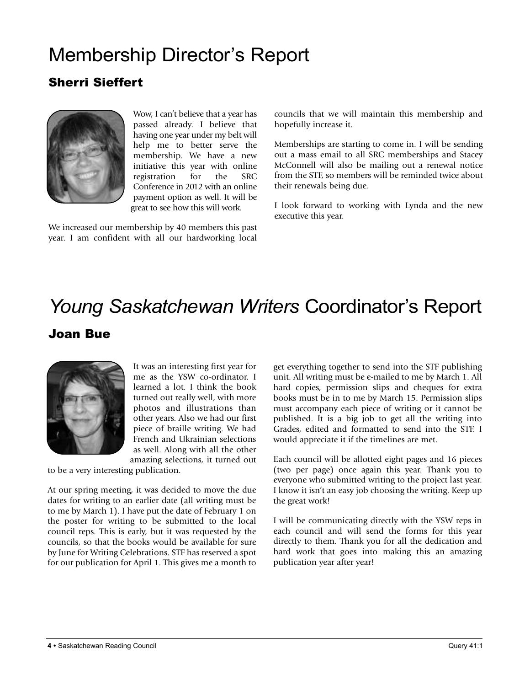# Membership Director's Report

# Sherri Sieffert



Wow, I can't believe that a year has passed already. I believe that having one year under my belt will help me to better serve the membership. We have a new initiative this year with online registration for the SRC Conference in 2012 with an online payment option as well. It will be great to see how this will work.

We increased our membership by 40 members this past year. I am confident with all our hardworking local

councils that we will maintain this membership and hopefully increase it.

Memberships are starting to come in. I will be sending out a mass email to all SRC memberships and Stacey McConnell will also be mailing out a renewal notice from the STF, so members will be reminded twice about their renewals being due.

I look forward to working with Lynda and the new executive this year.

# *Young Saskatchewan Writers* Coordinator's Report

### Joan Bue



It was an interesting first year for me as the YSW co-ordinator. I learned a lot. I think the book turned out really well, with more photos and illustrations than other years. Also we had our first piece of braille writing. We had French and Ukrainian selections as well. Along with all the other amazing selections, it turned out

to be a very interesting publication.

At our spring meeting, it was decided to move the due dates for writing to an earlier date (all writing must be to me by March 1). I have put the date of February 1 on the poster for writing to be submitted to the local council reps. This is early, but it was requested by the councils, so that the books would be available for sure by June for Writing Celebrations. STF has reserved a spot for our publication for April 1. This gives me a month to get everything together to send into the STF publishing unit. All writing must be e-mailed to me by March 1. All hard copies, permission slips and cheques for extra books must be in to me by March 15. Permission slips must accompany each piece of writing or it cannot be published. It is a big job to get all the writing into Grades, edited and formatted to send into the STF. I would appreciate it if the timelines are met.

Each council will be allotted eight pages and 16 pieces (two per page) once again this year. Thank you to everyone who submitted writing to the project last year. I know it isn't an easy job choosing the writing. Keep up the great work!

I will be communicating directly with the YSW reps in each council and will send the forms for this year directly to them. Thank you for all the dedication and hard work that goes into making this an amazing publication year after year!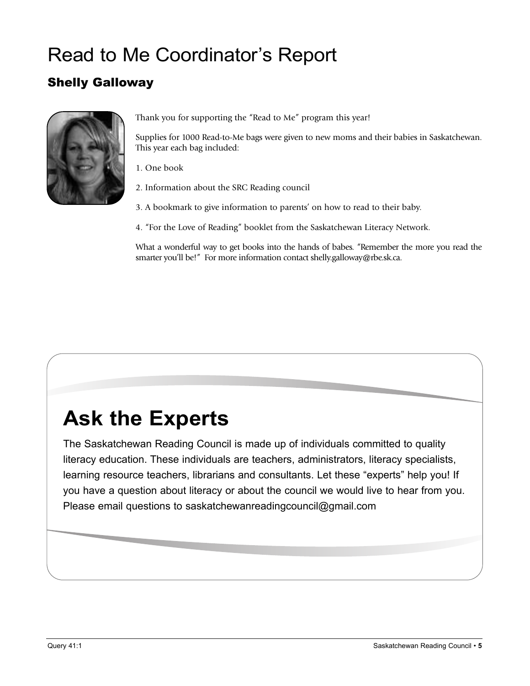# Read to Me Coordinator's Report

# Shelly Galloway



Thank you for supporting the "Read to Me" program this year!

Supplies for 1000 Read-to-Me bags were given to new moms and their babies in Saskatchewan. This year each bag included:

1. One book

2. Information about the SRC Reading council

3. A bookmark to give information to parents' on how to read to their baby.

4. "For the Love of Reading" booklet from the Saskatchewan Literacy Network.

What a wonderful way to get books into the hands of babes. "Remember the more you read the smarter you'll be!" For more information contact shelly.galloway@rbe.sk.ca.

# **Ask the Experts**

The Saskatchewan Reading Council is made up of individuals committed to quality literacy education. These individuals are teachers, administrators, literacy specialists, learning resource teachers, librarians and consultants. Let these "experts" help you! If you have a question about literacy or about the council we would live to hear from you. Please email questions to saskatchewanreadingcouncil@gmail.com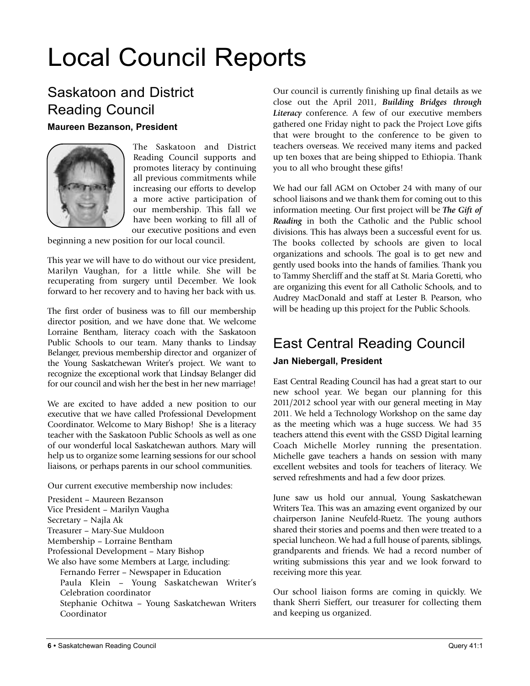# Local Council Reports

# Saskatoon and District Reading Council **Maureen Bezanson, President**



The Saskatoon and District Reading Council supports and promotes literacy by continuing all previous commitments while increasing our efforts to develop a more active participation of our membership. This fall we have been working to fill all of our executive positions and even

beginning a new position for our local council.

This year we will have to do without our vice president, Marilyn Vaughan, for a little while. She will be recuperating from surgery until December. We look forward to her recovery and to having her back with us.

The first order of business was to fill our membership director position, and we have done that. We welcome Lorraine Bentham, literacy coach with the Saskatoon Public Schools to our team. Many thanks to Lindsay Belanger, previous membership director and organizer of the Young Saskatchewan Writer's project. We want to recognize the exceptional work that Lindsay Belanger did for our council and wish her the best in her new marriage!

We are excited to have added a new position to our executive that we have called Professional Development Coordinator. Welcome to Mary Bishop! She is a literacy teacher with the Saskatoon Public Schools as well as one of our wonderful local Saskatchewan authors. Mary will help us to organize some learning sessions for our school liaisons, or perhaps parents in our school communities.

Our current executive membership now includes:

President – Maureen Bezanson Vice President – Marilyn Vaugha Secretary – Najla Ak Treasurer – Mary-Sue Muldoon Membership – Lorraine Bentham Professional Development – Mary Bishop We also have some Members at Large, including: Fernando Ferrer – Newspaper in Education Paula Klein – Young Saskatchewan Writer's Celebration coordinator Stephanie Ochitwa – Young Saskatchewan Writers Coordinator

Our council is currently finishing up final details as we close out the April 2011, *Building Bridges through Literacy* conference. A few of our executive members gathered one Friday night to pack the Project Love gifts that were brought to the conference to be given to teachers overseas. We received many items and packed up ten boxes that are being shipped to Ethiopia. Thank you to all who brought these gifts!

We had our fall AGM on October 24 with many of our school liaisons and we thank them for coming out to this information meeting. Our first project will be *The Gift of Reading* in both the Catholic and the Public school divisions. This has always been a successful event for us. The books collected by schools are given to local organizations and schools. The goal is to get new and gently used books into the hands of families. Thank you to Tammy Shercliff and the staff at St. Maria Goretti, who are organizing this event for all Catholic Schools, and to Audrey MacDonald and staff at Lester B. Pearson, who will be heading up this project for the Public Schools.

# East Central Reading Council

#### **Jan Niebergall, President**

East Central Reading Council has had a great start to our new school year. We began our planning for this 2011/2012 school year with our general meeting in May 2011. We held a Technology Workshop on the same day as the meeting which was a huge success. We had 35 teachers attend this event with the GSSD Digital learning Coach Michelle Morley running the presentation. Michelle gave teachers a hands on session with many excellent websites and tools for teachers of literacy. We served refreshments and had a few door prizes.

June saw us hold our annual, Young Saskatchewan Writers Tea. This was an amazing event organized by our chairperson Janine Neufeld-Ruetz. The young authors shared their stories and poems and then were treated to a special luncheon. We had a full house of parents, siblings, grandparents and friends. We had a record number of writing submissions this year and we look forward to receiving more this year.

Our school liaison forms are coming in quickly. We thank Sherri Sieffert, our treasurer for collecting them and keeping us organized.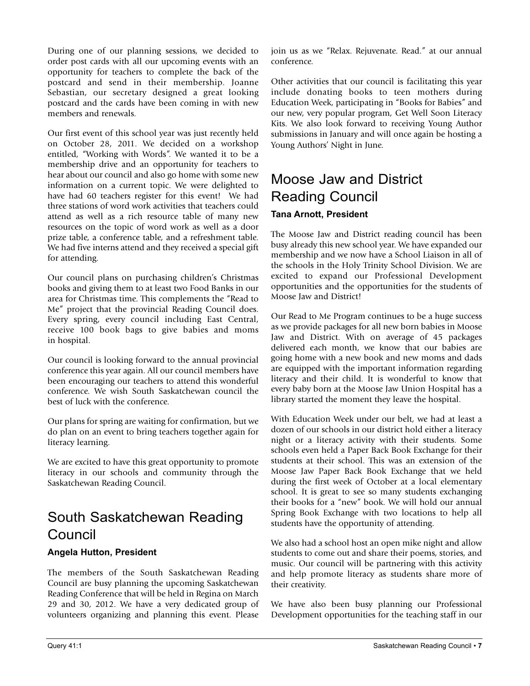During one of our planning sessions, we decided to order post cards with all our upcoming events with an opportunity for teachers to complete the back of the postcard and send in their membership. Joanne Sebastian, our secretary designed a great looking postcard and the cards have been coming in with new members and renewals.

Our first event of this school year was just recently held on October 28, 2011. We decided on a workshop entitled, "Working with Words". We wanted it to be a membership drive and an opportunity for teachers to hear about our council and also go home with some new information on a current topic. We were delighted to have had 60 teachers register for this event! We had three stations of word work activities that teachers could attend as well as a rich resource table of many new resources on the topic of word work as well as a door prize table, a conference table, and a refreshment table. We had five interns attend and they received a special gift for attending.

Our council plans on purchasing children's Christmas books and giving them to at least two Food Banks in our area for Christmas time. This complements the "Read to Me" project that the provincial Reading Council does. Every spring, every council including East Central, receive 100 book bags to give babies and moms in hospital.

Our council is looking forward to the annual provincial conference this year again. All our council members have been encouraging our teachers to attend this wonderful conference. We wish South Saskatchewan council the best of luck with the conference.

Our plans for spring are waiting for confirmation, but we do plan on an event to bring teachers together again for literacy learning.

We are excited to have this great opportunity to promote literacy in our schools and community through the Saskatchewan Reading Council.

# South Saskatchewan Reading Council

#### **Angela Hutton, President**

The members of the South Saskatchewan Reading Council are busy planning the upcoming Saskatchewan Reading Conference that will be held in Regina on March 29 and 30, 2012. We have a very dedicated group of volunteers organizing and planning this event. Please join us as we "Relax. Rejuvenate. Read." at our annual conference.

Other activities that our council is facilitating this year include donating books to teen mothers during Education Week, participating in "Books for Babies" and our new, very popular program, Get Well Soon Literacy Kits. We also look forward to receiving Young Author submissions in January and will once again be hosting a Young Authors' Night in June.

# Moose Jaw and District Reading Council **Tana Arnott, President**

The Moose Jaw and District reading council has been busy already this new school year. We have expanded our membership and we now have a School Liaison in all of the schools in the Holy Trinity School Division. We are excited to expand our Professional Development opportunities and the opportunities for the students of Moose Jaw and District!

Our Read to Me Program continues to be a huge success as we provide packages for all new born babies in Moose Jaw and District. With on average of 45 packages delivered each month, we know that our babies are going home with a new book and new moms and dads are equipped with the important information regarding literacy and their child. It is wonderful to know that every baby born at the Moose Jaw Union Hospital has a library started the moment they leave the hospital.

With Education Week under our belt, we had at least a dozen of our schools in our district hold either a literacy night or a literacy activity with their students. Some schools even held a Paper Back Book Exchange for their students at their school. This was an extension of the Moose Jaw Paper Back Book Exchange that we held during the first week of October at a local elementary school. It is great to see so many students exchanging their books for a "new" book. We will hold our annual Spring Book Exchange with two locations to help all students have the opportunity of attending.

We also had a school host an open mike night and allow students to come out and share their poems, stories, and music. Our council will be partnering with this activity and help promote literacy as students share more of their creativity.

We have also been busy planning our Professional Development opportunities for the teaching staff in our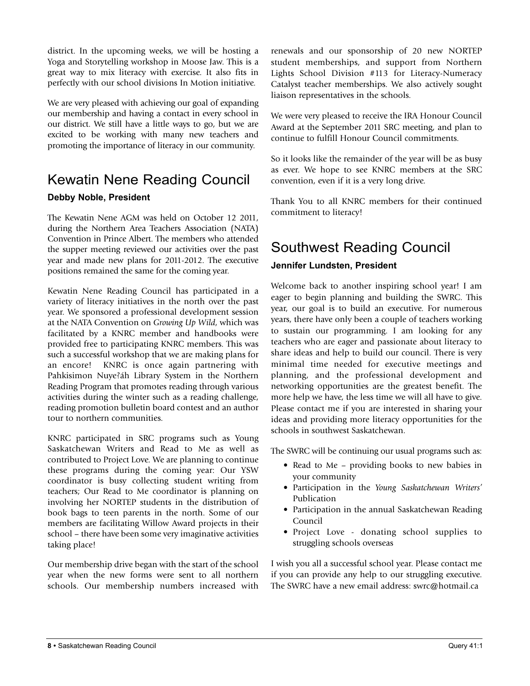district. In the upcoming weeks, we will be hosting a Yoga and Storytelling workshop in Moose Jaw. This is a great way to mix literacy with exercise. It also fits in perfectly with our school divisions In Motion initiative.

We are very pleased with achieving our goal of expanding our membership and having a contact in every school in our district. We still have a little ways to go, but we are excited to be working with many new teachers and promoting the importance of literacy in our community.

# Kewatin Nene Reading Council

#### **Debby Noble, President**

The Kewatin Nene AGM was held on October 12 2011, during the Northern Area Teachers Association (NATA) Convention in Prince Albert. The members who attended the supper meeting reviewed our activities over the past year and made new plans for 2011-2012. The executive positions remained the same for the coming year.

Kewatin Nene Reading Council has participated in a variety of literacy initiatives in the north over the past year. We sponsored a professional development session at the NATA Convention on *Growing Up Wild*, which was facilitated by a KNRC member and handbooks were provided free to participating KNRC members. This was such a successful workshop that we are making plans for an encore! KNRC is once again partnering with Pahkisimon Nuye?áh Library System in the Northern Reading Program that promotes reading through various activities during the winter such as a reading challenge, reading promotion bulletin board contest and an author tour to northern communities.

KNRC participated in SRC programs such as Young Saskatchewan Writers and Read to Me as well as contributed to Project Love. We are planning to continue these programs during the coming year: Our YSW coordinator is busy collecting student writing from teachers; Our Read to Me coordinator is planning on involving her NORTEP students in the distribution of book bags to teen parents in the north. Some of our members are facilitating Willow Award projects in their school – there have been some very imaginative activities taking place!

Our membership drive began with the start of the school year when the new forms were sent to all northern schools. Our membership numbers increased with

renewals and our sponsorship of 20 new NORTEP student memberships, and support from Northern Lights School Division #113 for Literacy-Numeracy Catalyst teacher memberships. We also actively sought liaison representatives in the schools.

We were very pleased to receive the IRA Honour Council Award at the September 2011 SRC meeting, and plan to continue to fulfill Honour Council commitments.

So it looks like the remainder of the year will be as busy as ever. We hope to see KNRC members at the SRC convention, even if it is a very long drive.

Thank You to all KNRC members for their continued commitment to literacy!

# Southwest Reading Council

#### **Jennifer lundsten, President**

Welcome back to another inspiring school year! I am eager to begin planning and building the SWRC. This year, our goal is to build an executive. For numerous years, there have only been a couple of teachers working to sustain our programming. I am looking for any teachers who are eager and passionate about literacy to share ideas and help to build our council. There is very minimal time needed for executive meetings and planning, and the professional development and networking opportunities are the greatest benefit. The more help we have, the less time we will all have to give. Please contact me if you are interested in sharing your ideas and providing more literacy opportunities for the schools in southwest Saskatchewan.

The SWRC will be continuing our usual programs such as:

- Read to Me providing books to new babies in your community
- Participation in the *Young Saskatchewan Writers'* Publication
- Participation in the annual Saskatchewan Reading Council
- Project Love donating school supplies to struggling schools overseas

I wish you all a successful school year. Please contact me if you can provide any help to our struggling executive. The SWRC have a new email address: swrc@hotmail.ca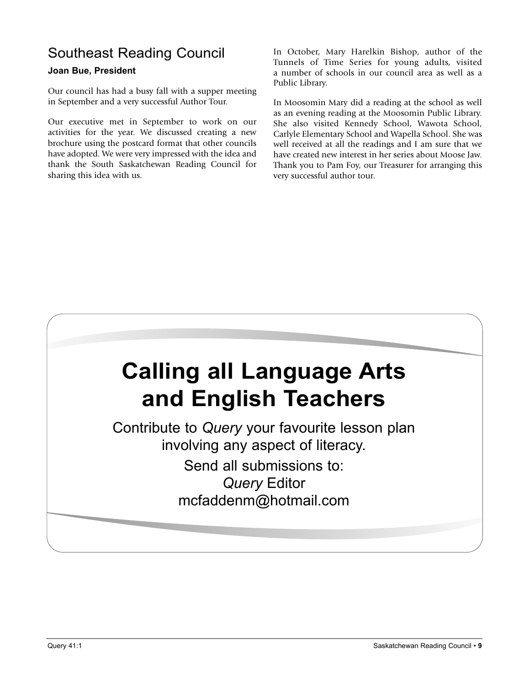# Southeast Reading Council

#### **Joan Bue, President**

Our council has had a busy fall with a supper meeting in September and a very successful Author Tour.

Our executive met in September to work on our activities for the year. We discussed creating a new brochure using the postcard format that other councils have adopted. We were very impressed with the idea and thank the South Saskatchewan Reading Council for sharing this idea with us.

In October, Mary Harelkin Bishop, author of the Tunnels of Time Series for young adults, visited a number of schools in our council area as well as a Public Library.

In Moosomin Mary did a reading at the school as well as an evening reading at the Moosomin Public Library. She also visited Kennedy School, Wawota School, Carlyle Elementary School and Wapella School. She was well received at all the readings and I am sure that we have created new interest in her series about Moose Jaw. Thank you to Pam Foy, our Treasurer for arranging this very successful author tour.



Contribute to *Query* your favourite lesson plan involving any aspect of literacy.

Send all submissions to: *Query* Editor mcfaddenm@hotmail.com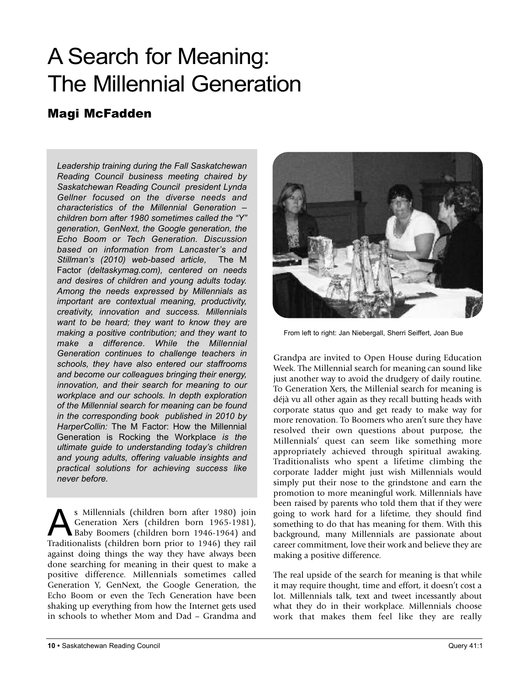# A Search for Meaning: The Millennial Generation

# Magi McFadden

*Leadership training during the Fall Saskatchewan Reading Council business meeting chaired by Saskatchewan Reading Council president Lynda Gellner focused on the diverse needs and characteristics of the Millennial Generation – children born after 1980 sometimes called the "Y" generation, GenNext, the Google generation, the Echo Boom or Tech Generation. Discussion based on information from Lancaster's and Stillman's (2010) web-based article,* The M Factor *(deltaskymag.com), centered on needs and desires of children and young adults today. Among the needs expressed by Millennials as important are contextual meaning, productivity, creativity, innovation and success. Millennials want to be heard; they want to know they are making a positive contribution; and they want to make a difference. While the Millennial Generation continues to challenge teachers in schools, they have also entered our staffrooms and become our colleagues bringing their energy, innovation, and their search for meaning to our workplace and our schools. In depth exploration of the Millennial search for meaning can be found in the corresponding book published in 2010 by HarperCollin:* The M Factor: How the Millennial Generation is Rocking the Workplace *is the ultimate guide to understanding today's children and young adults, offering valuable insights and practical solutions for achieving success like never before.*

s Millennials (children born after 1980) join Generation Xers (children born 1965-1981), Baby Boomers (children born 1946-1964) and Traditionalists (children born prior to 1946) they rail against doing things the way they have always been done searching for meaning in their quest to make a positive difference. Millennials sometimes called Generation Y, GenNext, the Google Generation, the Echo Boom or even the Tech Generation have been shaking up everything from how the Internet gets used in schools to whether Mom and Dad – Grandma and



From left to right: Jan Niebergall, Sherri Seiffert, Joan Bue

Grandpa are invited to Open House during Education Week. The Millennial search for meaning can sound like just another way to avoid the drudgery of daily routine. To Generation Xers, the Millenial search for meaning is déjà vu all other again as they recall butting heads with corporate status quo and get ready to make way for more renovation. To Boomers who aren't sure they have resolved their own questions about purpose, the Millennials' quest can seem like something more appropriately achieved through spiritual awaking. Traditionalists who spent a lifetime climbing the corporate ladder might just wish Millennials would simply put their nose to the grindstone and earn the promotion to more meaningful work. Millennials have been raised by parents who told them that if they were going to work hard for a lifetime, they should find something to do that has meaning for them. With this background, many Millennials are passionate about career commitment, love their work and believe they are making a positive difference.

The real upside of the search for meaning is that while it may require thought, time and effort, it doesn't cost a lot. Millennials talk, text and tweet incessantly about what they do in their workplace. Millennials choose work that makes them feel like they are really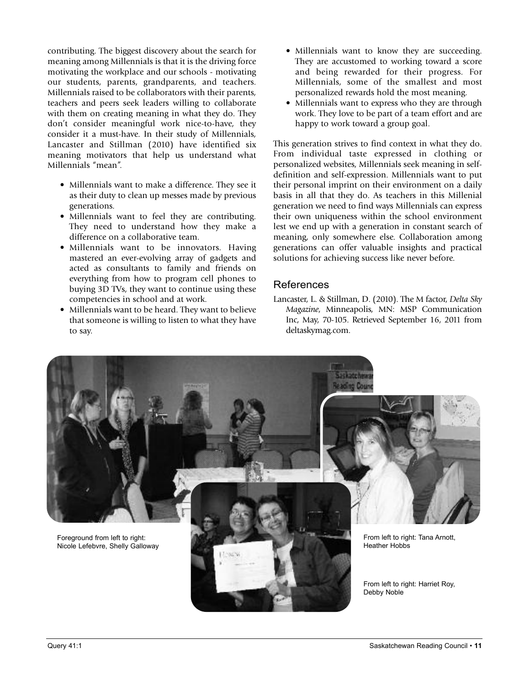contributing. The biggest discovery about the search for meaning among Millennials is that it is the driving force motivating the workplace and our schools - motivating our students, parents, grandparents, and teachers. Millennials raised to be collaborators with their parents, teachers and peers seek leaders willing to collaborate with them on creating meaning in what they do. They don't consider meaningful work nice-to-have, they consider it a must-have. In their study of Millennials, Lancaster and Stillman (2010) have identified six meaning motivators that help us understand what Millennials "mean".

- Millennials want to make a difference. They see it as their duty to clean up messes made by previous generations.
- Millennials want to feel they are contributing. They need to understand how they make a difference on a collaborative team.
- Millennials want to be innovators. Having mastered an ever-evolving array of gadgets and acted as consultants to family and friends on everything from how to program cell phones to buying 3D TVs, they want to continue using these competencies in school and at work.
- Millennials want to be heard. They want to believe that someone is willing to listen to what they have to say.
- Millennials want to know they are succeeding. They are accustomed to working toward a score and being rewarded for their progress. For Millennials, some of the smallest and most personalized rewards hold the most meaning.
- Millennials want to express who they are through work. They love to be part of a team effort and are happy to work toward a group goal.

This generation strives to find context in what they do. From individual taste expressed in clothing or personalized websites, Millennials seek meaning in selfdefinition and self-expression. Millennials want to put their personal imprint on their environment on a daily basis in all that they do. As teachers in this Millenial generation we need to find ways Millennials can express their own uniqueness within the school environment lest we end up with a generation in constant search of meaning, only somewhere else. Collaboration among generations can offer valuable insights and practical solutions for achieving success like never before.

#### References

Lancaster, L. & Stillman, D. (2010). The M factor, *Delta Sky Magazine*, Minneapolis, MN: MSP Communication Inc, May, 70-105. Retrieved September 16, 2011 from deltaskymag.com.

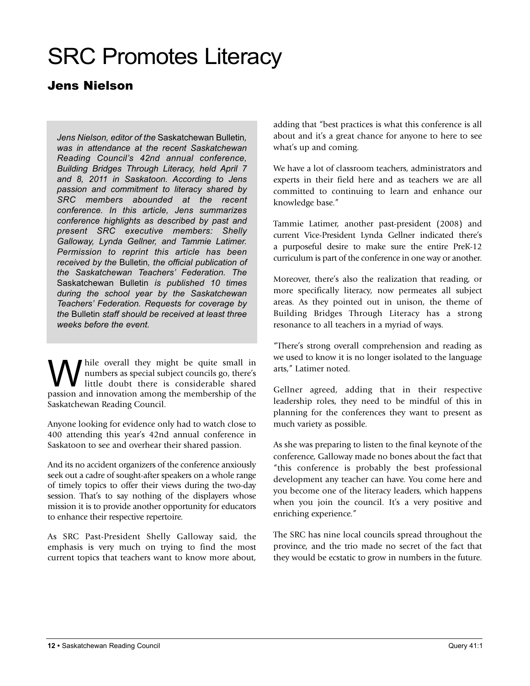# SRC Promotes Literacy

# Jens Nielson

*Jens Nielson, editor of the* Saskatchewan Bulletin*, was in attendance at the recent Saskatchewan Reading Council's 42nd annual conference, Building Bridges Through Literacy, held April 7 and 8, 2011 in Saskatoon. According to Jens passion and commitment to literacy shared by SRC members abounded at the recent conference. In this article, Jens summarizes conference highlights as described by past and present SRC executive members: Shelly Galloway, Lynda Gellner, and Tammie Latimer. Permission to reprint this article has been received by the* Bulletin*, the official publication of the Saskatchewan Teachers' Federation. The* Saskatchewan Bulletin *is published 10 times during the school year by the Saskatchewan Teachers' Federation. Requests for coverage by the* Bulletin *staff should be received at least three weeks before the event.*

W hile overall they might be quite small in<br>
little doubt there is considerable shared<br>
nonsign and imposition among the mann ambig of the numbers as special subject councils go, there's little doubt there is considerable shared passion and innovation among the membership of the Saskatchewan Reading Council.

Anyone looking for evidence only had to watch close to 400 attending this year's 42nd annual conference in Saskatoon to see and overhear their shared passion.

And its no accident organizers of the conference anxiously seek out a cadre of sought-after speakers on a whole range of timely topics to offer their views during the two-day session. That's to say nothing of the displayers whose mission it is to provide another opportunity for educators to enhance their respective repertoire.

As SRC Past-President Shelly Galloway said, the emphasis is very much on trying to find the most current topics that teachers want to know more about, adding that "best practices is what this conference is all about and it's a great chance for anyone to here to see what's up and coming.

We have a lot of classroom teachers, administrators and experts in their field here and as teachers we are all committed to continuing to learn and enhance our knowledge base."

Tammie Latimer, another past-president (2008) and current Vice-President Lynda Gellner indicated there's a purposeful desire to make sure the entire PreK-12 curriculum is part of the conference in one way or another.

Moreover, there's also the realization that reading, or more specifically literacy, now permeates all subject areas. As they pointed out in unison, the theme of Building Bridges Through Literacy has a strong resonance to all teachers in a myriad of ways.

"There's strong overall comprehension and reading as we used to know it is no longer isolated to the language arts," Latimer noted.

Gellner agreed, adding that in their respective leadership roles, they need to be mindful of this in planning for the conferences they want to present as much variety as possible.

As she was preparing to listen to the final keynote of the conference, Galloway made no bones about the fact that "this conference is probably the best professional development any teacher can have. You come here and you become one of the literacy leaders, which happens when you join the council. It's a very positive and enriching experience."

The SRC has nine local councils spread throughout the province, and the trio made no secret of the fact that they would be ecstatic to grow in numbers in the future.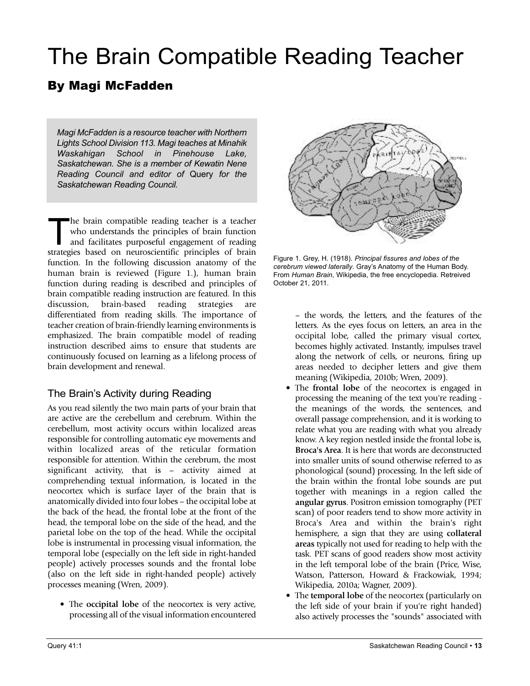# The Brain Compatible Reading Teacher

# By Magi McFadden

*Magi McFadden is a resource teacher with Northern Lights School Division 113. Magi teaches at Minahik Waskahigan School in Pinehouse Lake, Saskatchewan. She is a member of Kewatin Nene Reading Council and editor of* Query *for the Saskatchewan Reading Council.*

The brain compatible reading teacher is a teacher<br>who understands the principles of brain function<br>and facilitates purposeful engagement of reading<br>structure hand an aggregation is a similar of brain who understands the principles of brain function and facilitates purposeful engagement of reading strategies based on neuroscientific principles of brain function. In the following discussion anatomy of the human brain is reviewed (Figure 1.), human brain function during reading is described and principles of brain compatible reading instruction are featured. In this discussion, brain-based reading strategies are differentiated from reading skills. The importance of teacher creation of brain-friendly learning environments is emphasized. The brain compatible model of reading instruction described aims to ensure that students are continuously focused on learning as a lifelong process of brain development and renewal.

### The Brain's Activity during Reading

As you read silently the two main parts of your brain that are active are the cerebellum and cerebrum. Within the cerebellum, most activity occurs within localized areas responsible for controlling automatic eye movements and within localized areas of the reticular formation responsible for attention. Within the cerebrum, the most significant activity, that is – activity aimed at comprehending textual information, is located in the neocortex which is surface layer of the brain that is anatomically divided into four lobes – the occipital lobe at the back of the head, the frontal lobe at the front of the head, the temporal lobe on the side of the head, and the parietal lobe on the top of the head. While the occipital lobe is instrumental in processing visual information, the temporal lobe (especially on the left side in right-handed people) actively processes sounds and the frontal lobe (also on the left side in right-handed people) actively processes meaning (Wren, 2009).

• The **occipital lobe** of the neocortex is very active, processing all of the visual information encountered



Figure 1. Grey, H. (1918). *Principal fissures and lobes of the cerebrum viewed laterally*. Gray's Anatomy of the Human Body. From *Human Brain*, Wikipedia, the free encyclopedia. Retreived October 21, 2011.

– the words, the letters, and the features of the letters. As the eyes focus on letters, an area in the occipital lobe, called the primary visual cortex, becomes highly activated. Instantly, impulses travel along the network of cells, or neurons, firing up areas needed to decipher letters and give them meaning (Wikipedia, 2010b; Wren, 2009).

- The **frontal lobe** of the neocortex is engaged in processing the meaning of the text you're reading the meanings of the words, the sentences, and overall passage comprehension, and it is working to relate what you are reading with what you already know. A key region nestled inside the frontal lobe is, **Broca's Area**. It is here that words are deconstructed into smaller units of sound otherwise referred to as phonological (sound) processing. In the left side of the brain within the frontal lobe sounds are put together with meanings in a region called the **angular gyrus**. Positron emission tomography (PET scan) of poor readers tend to show more activity in Broca's Area and within the brain's right hemisphere, a sign that they are using **collateral areas** typically not used for reading to help with the task. PET scans of good readers show most activity in the left temporal lobe of the brain (Price, Wise, Watson, Patterson, Howard & Frackowiak, 1994; Wikipedia, 2010a; Wagner, 2009).
- The **temporal lobe** of the neocortex (particularly on the left side of your brain if you're right handed) also actively processes the "sounds" associated with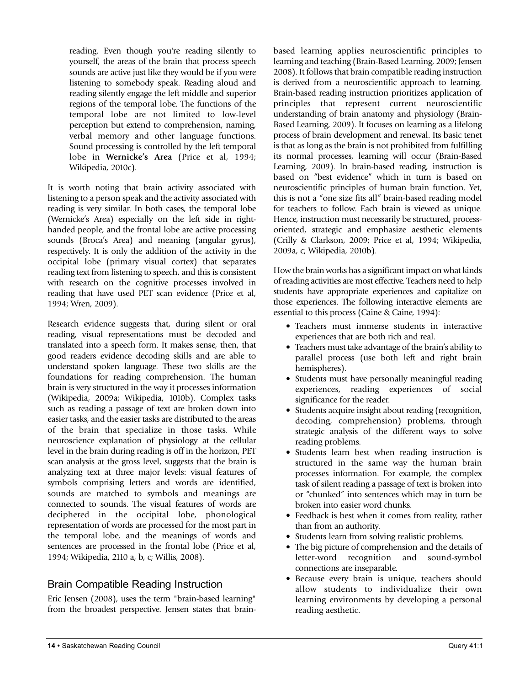reading. Even though you're reading silently to yourself, the areas of the brain that process speech sounds are active just like they would be if you were listening to somebody speak. Reading aloud and reading silently engage the left middle and superior regions of the temporal lobe. The functions of the temporal lobe are not limited to low-level perception but extend to comprehension, naming, verbal memory and other language functions. Sound processing is controlled by the left temporal lobe in **Wernicke's Area** (Price et al, 1994; Wikipedia, 2010c).

It is worth noting that brain activity associated with listening to a person speak and the activity associated with reading is very similar. In both cases, the temporal lobe (Wernicke's Area) especially on the left side in righthanded people, and the frontal lobe are active processing sounds (Broca's Area) and meaning (angular gyrus), respectively. It is only the addition of the activity in the occipital lobe (primary visual cortex) that separates reading text from listening to speech, and this is consistent with research on the cognitive processes involved in reading that have used PET scan evidence (Price et al, 1994; Wren, 2009).

Research evidence suggests that, during silent or oral reading, visual representations must be decoded and translated into a speech form. It makes sense, then, that good readers evidence decoding skills and are able to understand spoken language. These two skills are the foundations for reading comprehension. The human brain is very structured in the way it processes information (Wikipedia, 2009a; Wikipedia, 1010b). Complex tasks such as reading a passage of text are broken down into easier tasks, and the easier tasks are distributed to the areas of the brain that specialize in those tasks. While neuroscience explanation of physiology at the cellular level in the brain during reading is off in the horizon, PET scan analysis at the gross level, suggests that the brain is analyzing text at three major levels: visual features of symbols comprising letters and words are identified, sounds are matched to symbols and meanings are connected to sounds. The visual features of words are deciphered in the occipital lobe, phonological representation of words are processed for the most part in the temporal lobe, and the meanings of words and sentences are processed in the frontal lobe (Price et al, 1994; Wikipedia, 2110 a, b, c; Willis, 2008).

### Brain Compatible Reading Instruction

Eric Jensen (2008), uses the term "brain-based learning" from the broadest perspective. Jensen states that brainbased learning applies neuroscientific principles to learning and teaching (Brain-Based Learning, 2009; Jensen 2008). It follows that brain compatible reading instruction is derived from a neuroscientific approach to learning. Brain-based reading instruction prioritizes application of principles that represent current neuroscientific understanding of brain anatomy and physiology (Brain-Based Learning, 2009). It focuses on learning as a lifelong process of brain development and renewal. Its basic tenet is that as long as the brain is not prohibited from fulfilling its normal processes, learning will occur (Brain-Based Learning, 2009). In brain-based reading, instruction is based on "best evidence" which in turn is based on neuroscientific principles of human brain function. Yet, this is not a "one size fits all" brain-based reading model for teachers to follow. Each brain is viewed as unique. Hence, instruction must necessarily be structured, processoriented, strategic and emphasize aesthetic elements (Crilly & Clarkson, 2009; Price et al, 1994; Wikipedia, 2009a, c; Wikipedia, 2010b).

How the brain works has a significant impact on what kinds of reading activities are most effective. Teachers need to help students have appropriate experiences and capitalize on those experiences. The following interactive elements are essential to this process (Caine & Caine, 1994):

- Teachers must immerse students in interactive experiences that are both rich and real.
- Teachers must take advantage of the brain's ability to parallel process (use both left and right brain hemispheres).
- Students must have personally meaningful reading experiences, reading experiences of social significance for the reader.
- Students acquire insight about reading (recognition, decoding, comprehension) problems, through strategic analysis of the different ways to solve reading problems.
- Students learn best when reading instruction is structured in the same way the human brain processes information. For example, the complex task of silent reading a passage of text is broken into or "chunked" into sentences which may in turn be broken into easier word chunks.
- Feedback is best when it comes from reality, rather than from an authority.
- Students learn from solving realistic problems.
- The big picture of comprehension and the details of letter-word recognition and sound-symbol connections are inseparable.
- Because every brain is unique, teachers should allow students to individualize their own learning environments by developing a personal reading aesthetic.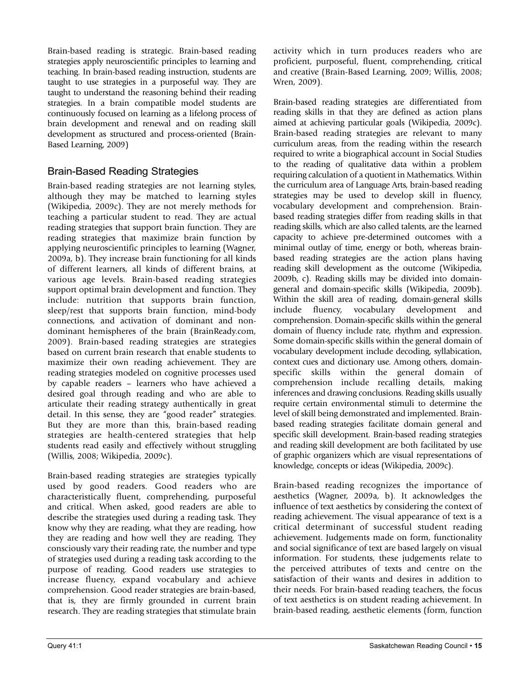Brain-based reading is strategic. Brain-based reading strategies apply neuroscientific principles to learning and teaching. In brain-based reading instruction, students are taught to use strategies in a purposeful way. They are taught to understand the reasoning behind their reading strategies. In a brain compatible model students are continuously focused on learning as a lifelong process of brain development and renewal and on reading skill development as structured and process-oriented (Brain-Based Learning, 2009)

### Brain-Based Reading Strategies

Brain-based reading strategies are not learning styles, although they may be matched to learning styles (Wikipedia, 2009c). They are not merely methods for teaching a particular student to read. They are actual reading strategies that support brain function. They are reading strategies that maximize brain function by applying neuroscientific principles to learning (Wagner, 2009a, b). They increase brain functioning for all kinds of different learners, all kinds of different brains, at various age levels. Brain-based reading strategies support optimal brain development and function. They include: nutrition that supports brain function, sleep/rest that supports brain function, mind-body connections, and activation of dominant and nondominant hemispheres of the brain (BrainReady.com, 2009). Brain-based reading strategies are strategies based on current brain research that enable students to maximize their own reading achievement. They are reading strategies modeled on cognitive processes used by capable readers – learners who have achieved a desired goal through reading and who are able to articulate their reading strategy authentically in great detail. In this sense, they are "good reader" strategies. But they are more than this, brain-based reading strategies are health-centered strategies that help students read easily and effectively without struggling (Willis, 2008; Wikipedia, 2009c).

Brain-based reading strategies are strategies typically used by good readers. Good readers who are characteristically fluent, comprehending, purposeful and critical. When asked, good readers are able to describe the strategies used during a reading task. They know why they are reading, what they are reading, how they are reading and how well they are reading. They consciously vary their reading rate, the number and type of strategies used during a reading task according to the purpose of reading. Good readers use strategies to increase fluency, expand vocabulary and achieve comprehension. Good reader strategies are brain-based, that is, they are firmly grounded in current brain research. They are reading strategies that stimulate brain

activity which in turn produces readers who are proficient, purposeful, fluent, comprehending, critical and creative (Brain-Based Learning, 2009; Willis, 2008; Wren, 2009).

Brain-based reading strategies are differentiated from reading skills in that they are defined as action plans aimed at achieving particular goals (Wikipedia, 2009c). Brain-based reading strategies are relevant to many curriculum areas, from the reading within the research required to write a biographical account in Social Studies to the reading of qualitative data within a problem requiring calculation of a quotient in Mathematics. Within the curriculum area of Language Arts, brain-based reading strategies may be used to develop skill in fluency, vocabulary development and comprehension. Brainbased reading strategies differ from reading skills in that reading skills, which are also called talents, are the learned capacity to achieve pre-determined outcomes with a minimal outlay of time, energy or both, whereas brainbased reading strategies are the action plans having reading skill development as the outcome (Wikipedia, 2009b, c). Reading skills may be divided into domaingeneral and domain-specific skills (Wikipedia, 2009b). Within the skill area of reading, domain-general skills include fluency, vocabulary development and comprehension. Domain-specific skills within the general domain of fluency include rate, rhythm and expression. Some domain-specific skills within the general domain of vocabulary development include decoding, syllabication, context cues and dictionary use. Among others, domainspecific skills within the general domain of comprehension include recalling details, making inferences and drawing conclusions. Reading skills usually require certain environmental stimuli to determine the level of skill being demonstrated and implemented. Brainbased reading strategies facilitate domain general and specific skill development. Brain-based reading strategies and reading skill development are both facilitated by use of graphic organizers which are visual representations of knowledge, concepts or ideas (Wikipedia, 2009c).

Brain-based reading recognizes the importance of aesthetics (Wagner, 2009a, b). It acknowledges the influence of text aesthetics by considering the context of reading achievement. The visual appearance of text is a critical determinant of successful student reading achievement. Judgements made on form, functionality and social significance of text are based largely on visual information. For students, these judgements relate to the perceived attributes of texts and centre on the satisfaction of their wants and desires in addition to their needs. For brain-based reading teachers, the focus of text aesthetics is on student reading achievement. In brain-based reading, aesthetic elements (form, function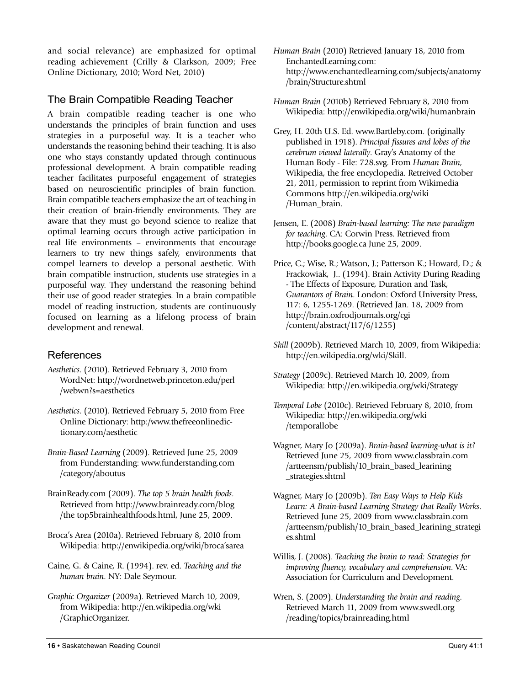and social relevance) are emphasized for optimal reading achievement (Crilly & Clarkson, 2009; Free Online Dictionary, 2010; Word Net, 2010)

### The Brain Compatible Reading Teacher

A brain compatible reading teacher is one who understands the principles of brain function and uses strategies in a purposeful way. It is a teacher who understands the reasoning behind their teaching. It is also one who stays constantly updated through continuous professional development. A brain compatible reading teacher facilitates purposeful engagement of strategies based on neuroscientific principles of brain function. Brain compatible teachers emphasize the art of teaching in their creation of brain-friendly environments. They are aware that they must go beyond science to realize that optimal learning occurs through active participation in real life environments – environments that encourage learners to try new things safely, environments that compel learners to develop a personal aesthetic. With brain compatible instruction, students use strategies in a purposeful way. They understand the reasoning behind their use of good reader strategies. In a brain compatible model of reading instruction, students are continuously focused on learning as a lifelong process of brain development and renewal.

### References

- *Aesthetics*. (2010). Retrieved February 3, 2010 from WordNet: http://wordnetweb.princeton.edu/perl /webwn?s=aesthetics
- *Aesthetics*. (2010). Retrieved February 5, 2010 from Free Online Dictionary: http:/www.thefreeonlinedictionary.com/aesthetic
- *Brain-Based Learning* (2009). Retrieved June 25, 2009 from Funderstanding: www.funderstanding.com /category/aboutus
- BrainReady.com (2009). *The top 5 brain health foods*. Retrieved from http://www.brainready.com/blog /the top5brainhealthfoods.html, June 25, 2009.
- Broca's Area (2010a). Retrieved February 8, 2010 from Wikipedia: http://enwikipedia.org/wiki/broca'sarea
- Caine, G. & Caine, R. (1994). rev. ed. *Teaching and the human brain*. NY: Dale Seymour.
- *Graphic Organizer* (2009a). Retrieved March 10, 2009, from Wikipedia: http://en.wikipedia.org/wki /GraphicOrganizer.
- *Human Brain* (2010) Retrieved January 18, 2010 from EnchantedLearning.com: http://www.enchantedlearning.com/subjects/anatomy /brain/Structure.shtml
- *Human Brain* (2010b) Retrieved February 8, 2010 from Wikipedia: http://enwikipedia.org/wiki/humanbrain
- Grey, H. 20th U.S. Ed. www.Bartleby.com. (originally published in 1918). *Principal fissures and lobes of the cerebrum viewed laterally*. Gray's Anatomy of the Human Body - File: 728.svg. From *Human Brain*, Wikipedia, the free encyclopedia. Retreived October 21, 2011, permission to reprint from Wikimedia Commons http://en.wikipedia.org/wiki /Human\_brain.
- Jensen, E. (2008) *Brain-based learning: The new paradigm for teaching*. CA: Corwin Press. Retrieved from http://books.google.ca June 25, 2009.
- Price, C.; Wise, R.; Watson, J.; Patterson K.; Howard, D.; & Frackowiak, J.. (1994). Brain Activity During Reading - The Effects of Exposure, Duration and Task, *Guarantors of Brain*. London: Oxford University Press, 117: 6, 1255-1269. (Retrieved Jan. 18, 2009 from http://brain.oxfrodjournals.org/cgi /content/abstract/117/6/1255)
- *Skill* (2009b). Retrieved March 10, 2009, from Wikipedia: http://en.wikipedia.org/wki/Skill.
- *Strategy* (2009c). Retrieved March 10, 2009, from Wikipedia: http://en.wikipedia.org/wki/Strategy
- *Temporal Lobe* (2010c). Retrieved February 8, 2010, from Wikipedia: http://en.wikipedia.org/wki /temporallobe
- Wagner, Mary Jo (2009a). *Brain-based learning-what is it?* Retrieved June 25, 2009 from www.classbrain.com /artteensm/publish/10\_brain\_based\_learining \_strategies.shtml
- Wagner, Mary Jo (2009b). *Ten Easy Ways to Help Kids Learn: A Brain-based Learning Strategy that Really Works*. Retrieved June 25, 2009 from www.classbrain.com /artteensm/publish/10\_brain\_based\_learining\_strategi es.shtml
- Willis, J. (2008). *Teaching the brain to read: Strategies for improving fluency, vocabulary and comprehension*. VA: Association for Curriculum and Development.
- Wren, S. (2009). *Understanding the brain and reading*. Retrieved March 11, 2009 from www.swedl.org /reading/topics/brainreading.html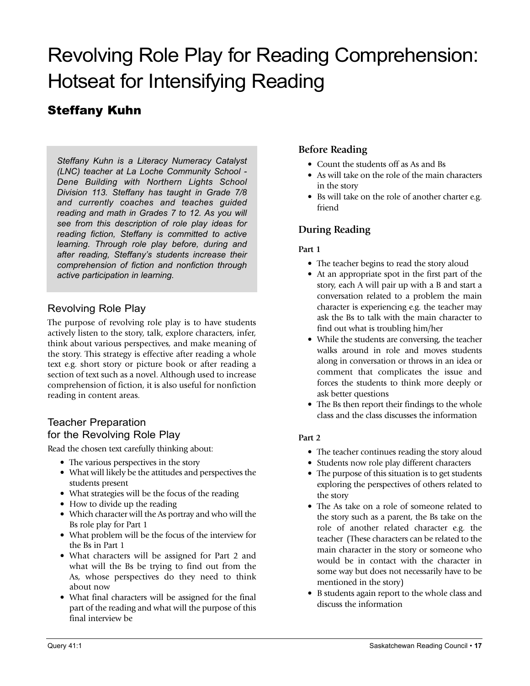# Revolving Role Play for Reading Comprehension: Hotseat for Intensifying Reading

# Steffany Kuhn

*Steffany Kuhn is a Literacy Numeracy Catalyst (LNC) teacher at La Loche Community School - Dene Building with Northern Lights School Division 113. Steffany has taught in Grade 7/8 and currently coaches and teaches guided reading and math in Grades 7 to 12. As you will see from this description of role play ideas for reading fiction, Steffany is committed to active learning. Through role play before, during and after reading, Steffany's students increase their comprehension of fiction and nonfiction through active participation in learning.*

### Revolving Role Play

The purpose of revolving role play is to have students actively listen to the story, talk, explore characters, infer, think about various perspectives, and make meaning of the story. This strategy is effective after reading a whole text e.g. short story or picture book or after reading a section of text such as a novel. Although used to increase comprehension of fiction, it is also useful for nonfiction reading in content areas.

#### Teacher Preparation for the Revolving Role Play

Read the chosen text carefully thinking about:

- The various perspectives in the story
- What will likely be the attitudes and perspectives the students present
- What strategies will be the focus of the reading
- How to divide up the reading
- Which character will the As portray and who will the Bs role play for Part 1
- What problem will be the focus of the interview for the Bs in Part 1
- What characters will be assigned for Part 2 and what will the Bs be trying to find out from the As, whose perspectives do they need to think about now
- What final characters will be assigned for the final part of the reading and what will the purpose of this final interview be

### **Before Reading**

- Count the students off as As and Bs
- As will take on the role of the main characters in the story
- Bs will take on the role of another charter e.g. friend

### **During Reading**

#### **Part 1**

- The teacher begins to read the story aloud
- At an appropriate spot in the first part of the story, each A will pair up with a B and start a conversation related to a problem the main character is experiencing e.g. the teacher may ask the Bs to talk with the main character to find out what is troubling him/her
- While the students are conversing, the teacher walks around in role and moves students along in conversation or throws in an idea or comment that complicates the issue and forces the students to think more deeply or ask better questions
- The Bs then report their findings to the whole class and the class discusses the information

#### **Part 2**

- The teacher continues reading the story aloud
- Students now role play different characters
- The purpose of this situation is to get students exploring the perspectives of others related to the story
- The As take on a role of someone related to the story such as a parent, the Bs take on the role of another related character e.g. the teacher (These characters can be related to the main character in the story or someone who would be in contact with the character in some way but does not necessarily have to be mentioned in the story)
- B students again report to the whole class and discuss the information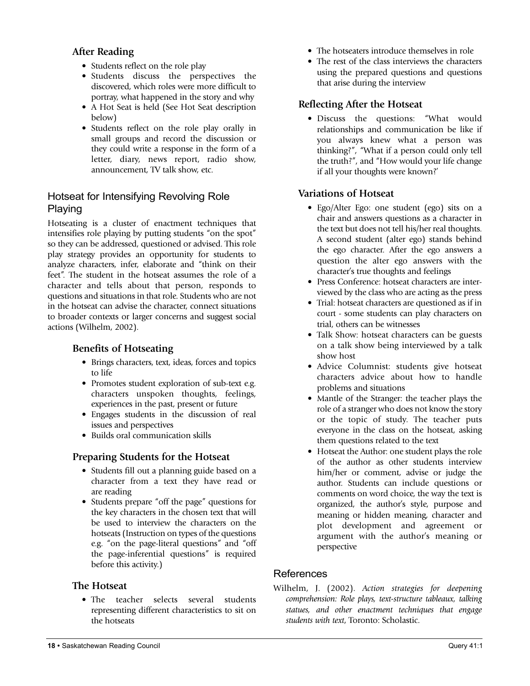#### **After Reading**

- Students reflect on the role play
- Students discuss the perspectives the discovered, which roles were more difficult to portray, what happened in the story and why
- A Hot Seat is held (See Hot Seat description below)
- Students reflect on the role play orally in small groups and record the discussion or they could write a response in the form of a letter, diary, news report, radio show, announcement, TV talk show, etc.

### Hotseat for Intensifying Revolving Role Playing

Hotseating is a cluster of enactment techniques that intensifies role playing by putting students "on the spot" so they can be addressed, questioned or advised. This role play strategy provides an opportunity for students to analyze characters, infer, elaborate and "think on their feet". The student in the hotseat assumes the role of a character and tells about that person, responds to questions and situations in that role. Students who are not in the hotseat can advise the character, connect situations to broader contexts or larger concerns and suggest social actions (Wilhelm, 2002).

#### **Benefits of Hotseating**

- Brings characters, text, ideas, forces and topics to life
- Promotes student exploration of sub-text e.g. characters unspoken thoughts, feelings, experiences in the past, present or future
- Engages students in the discussion of real issues and perspectives
- Builds oral communication skills

#### **Preparing Students for the Hotseat**

- Students fill out a planning guide based on a character from a text they have read or are reading
- Students prepare "off the page" questions for the key characters in the chosen text that will be used to interview the characters on the hotseats (Instruction on types of the questions e.g. "on the page-literal questions" and "off the page-inferential questions" is required before this activity.)

#### **The Hotseat**

• The teacher selects several students representing different characteristics to sit on the hotseats

- The hotseaters introduce themselves in role
- The rest of the class interviews the characters using the prepared questions and questions that arise during the interview

#### **Reflecting After the Hotseat**

• Discuss the questions: "What would relationships and communication be like if you always knew what a person was thinking?", "What if a person could only tell the truth?", and "How would your life change if all your thoughts were known?'

#### **Variations of Hotseat**

- Ego/Alter Ego: one student (ego) sits on a chair and answers questions as a character in the text but does not tell his/her real thoughts. A second student (alter ego) stands behind the ego character. After the ego answers a question the alter ego answers with the character's true thoughts and feelings
- Press Conference: hotseat characters are interviewed by the class who are acting as the press
- Trial: hotseat characters are questioned as if in court - some students can play characters on trial, others can be witnesses
- Talk Show: hotseat characters can be guests on a talk show being interviewed by a talk show host
- Advice Columnist: students give hotseat characters advice about how to handle problems and situations
- Mantle of the Stranger: the teacher plays the role of a stranger who does not know the story or the topic of study. The teacher puts everyone in the class on the hotseat, asking them questions related to the text
- Hotseat the Author: one student plays the role of the author as other students interview him/her or comment, advise or judge the author. Students can include questions or comments on word choice, the way the text is organized, the author's style, purpose and meaning or hidden meaning, character and plot development and agreement or argument with the author's meaning or perspective

#### References

Wilhelm, J. (2002). *Action strategies for deepening comprehension: Role plays, text-structure tableaux, talking statues, and other enactment techniques that engage students with text*, Toronto: Scholastic.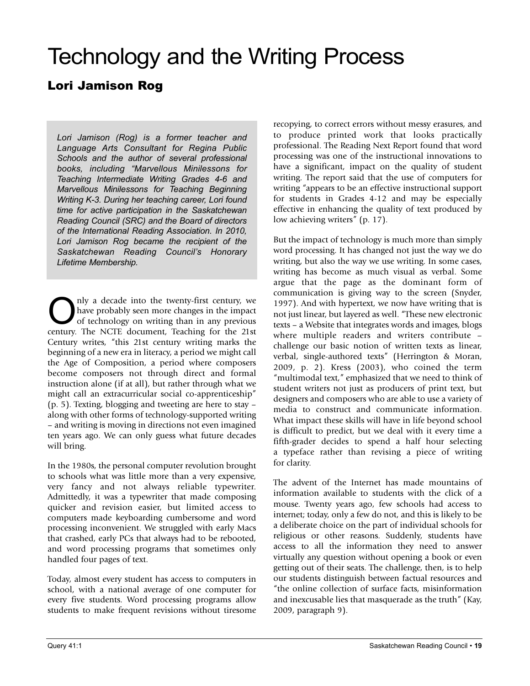# Technology and the Writing Process

# Lori Jamison Rog

*Lori Jamison (Rog) is a former teacher and Language Arts Consultant for Regina Public Schools and the author of several professional books, including "Marvellous Minilessons for Teaching Intermediate Writing Grades 4-6 and Marvellous Minilessons for Teaching Beginning Writing K-3. During her teaching career, Lori found time for active participation in the Saskatchewan Reading Council (SRC) and the Board of directors of the International Reading Association. In 2010, Lori Jamison Rog became the recipient of the Saskatchewan Reading Council's Honorary Lifetime Membership.*

Only a decade into the twenty-first century, we<br>
of technology on writing than in any previous<br>
of the MGE document Technology for the Net have probably seen more changes in the impact century. The NCTE document, Teaching for the 21st Century writes, "this 21st century writing marks the beginning of a new era in literacy, a period we might call the Age of Composition, a period where composers become composers not through direct and formal instruction alone (if at all), but rather through what we might call an extracurricular social co-apprenticeship" (p. 5). Texting, blogging and tweeting are here to stay – along with other forms of technology-supported writing – and writing is moving in directions not even imagined ten years ago. We can only guess what future decades will bring.

In the 1980s, the personal computer revolution brought to schools what was little more than a very expensive, very fancy and not always reliable typewriter. Admittedly, it was a typewriter that made composing quicker and revision easier, but limited access to computers made keyboarding cumbersome and word processing inconvenient. We struggled with early Macs that crashed, early PCs that always had to be rebooted, and word processing programs that sometimes only handled four pages of text.

Today, almost every student has access to computers in school, with a national average of one computer for every five students. Word processing programs allow students to make frequent revisions without tiresome recopying, to correct errors without messy erasures, and to produce printed work that looks practically professional. The Reading Next Report found that word processing was one of the instructional innovations to have a significant, impact on the quality of student writing. The report said that the use of computers for writing "appears to be an effective instructional support for students in Grades 4-12 and may be especially effective in enhancing the quality of text produced by low achieving writers" (p. 17).

But the impact of technology is much more than simply word processing. It has changed not just the way we do writing, but also the way we use writing. In some cases, writing has become as much visual as verbal. Some argue that the page as the dominant form of communication is giving way to the screen (Snyder, 1997). And with hypertext, we now have writing that is not just linear, but layered as well. "These new electronic texts – a Website that integrates words and images, blogs where multiple readers and writers contribute – challenge our basic notion of written texts as linear, verbal, single-authored texts" (Herrington & Moran, 2009, p. 2). Kress (2003), who coined the term "multimodal text," emphasized that we need to think of student writers not just as producers of print text, but designers and composers who are able to use a variety of media to construct and communicate information. What impact these skills will have in life beyond school is difficult to predict, but we deal with it every time a fifth-grader decides to spend a half hour selecting a typeface rather than revising a piece of writing for clarity.

The advent of the Internet has made mountains of information available to students with the click of a mouse. Twenty years ago, few schools had access to internet; today, only a few do not, and this is likely to be a deliberate choice on the part of individual schools for religious or other reasons. Suddenly, students have access to all the information they need to answer virtually any question without opening a book or even getting out of their seats. The challenge, then, is to help our students distinguish between factual resources and "the online collection of surface facts, misinformation and inexcusable lies that masquerade as the truth" (Kay, 2009, paragraph 9).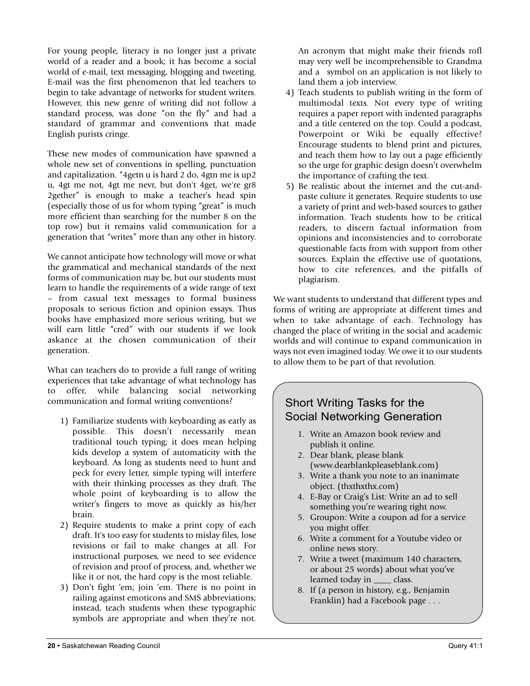For young people, literacy is no longer just a private world of a reader and a book; it has become a social world of e-mail, text messaging, blogging and tweeting. E-mail was the first phenomenon that led teachers to begin to take advantage of networks for student writers. However, this new genre of writing did not follow a standard process, was done "on the fly" and had a standard of grammar and conventions that made English purists cringe.

These new modes of communication have spawned a whole new set of conventions in spelling, punctuation and capitalization. "4getn u is hard 2 do, 4gtn me is up2 u, 4gt me not, 4gt me nevr, but don't 4get, we're gr8 2gether" is enough to make a teacher's head spin (especially those of us for whom typing "great" is much more efficient than searching for the number 8 on the top row) but it remains valid communication for a generation that "writes" more than any other in history.

We cannot anticipate how technology will move or what the grammatical and mechanical standards of the next forms of communication may be, but our students must learn to handle the requirements of a wide range of text – from casual text messages to formal business proposals to serious fiction and opinion essays. Thus books have emphasized more serious writing, but we will earn little "cred" with our students if we look askance at the chosen communication of their generation.

What can teachers do to provide a full range of writing experiences that take advantage of what technology has to offer, while balancing social networking communication and formal writing conventions?

- 1) Familiarize students with keyboarding as early as possible. This doesn't necessarily mean traditional touch typing; it does mean helping kids develop a system of automaticity with the keyboard. As long as students need to hunt and peck for every letter, simple typing will interfere with their thinking processes as they draft. The whole point of keyboarding is to allow the writer's fingers to move as quickly as his/her brain.
- 2) Require students to make a print copy of each draft. It's too easy for students to mislay files, lose revisions or fail to make changes at all. For instructional purposes, we need to see evidence of revision and proof of process, and, whether we like it or not, the hard copy is the most reliable.
- 3) Don't fight 'em; join 'em. There is no point in railing against emoticons and SMS abbreviations; instead, teach students when these typographic symbols are appropriate and when they're not.

An acronym that might make their friends rofl may very well be incomprehensible to Grandma and a symbol on an application is not likely to land them a job interview.

- 4) Teach students to publish writing in the form of multimodal texts. Not every type of writing requires a paper report with indented paragraphs and a title centered on the top. Could a podcast, Powerpoint or Wiki be equally effective? Encourage students to blend print and pictures, and teach them how to lay out a page efficiently so the urge for graphic design doesn't overwhelm the importance of crafting the text.
- 5) Be realistic about the internet and the cut-andpaste culture it generates. Require students to use a variety of print and web-based sources to gather information. Teach students how to be critical readers, to discern factual information from opinions and inconsistencies and to corroborate questionable facts from with support from other sources. Explain the effective use of quotations, how to cite references, and the pitfalls of plagiarism.

We want students to understand that different types and forms of writing are appropriate at different times and when to take advantage of each. Technology has changed the place of writing in the social and academic worlds and will continue to expand communication in ways not even imagined today. We owe it to our students to allow them to be part of that revolution.

## Short Writing Tasks for the Social Networking Generation

- 1. Write an Amazon book review and publish it online.
- 2. Dear blank, please blank (www.dearblankpleaseblank.com)
- 3. Write a thank you note to an inanimate object. (thxthxthx.com)
- 4. E-Bay or Craig's List: Write an ad to sell something you're wearing right now.
- 5. Groupon: Write a coupon ad for a service you might offer.
- 6. Write a comment for a Youtube video or online news story.
- 7. Write a tweet (maximum 140 characters, or about 25 words) about what you've learned today in class.
- 8. If (a person in history, e.g., Benjamin Franklin) had a Facebook page . . .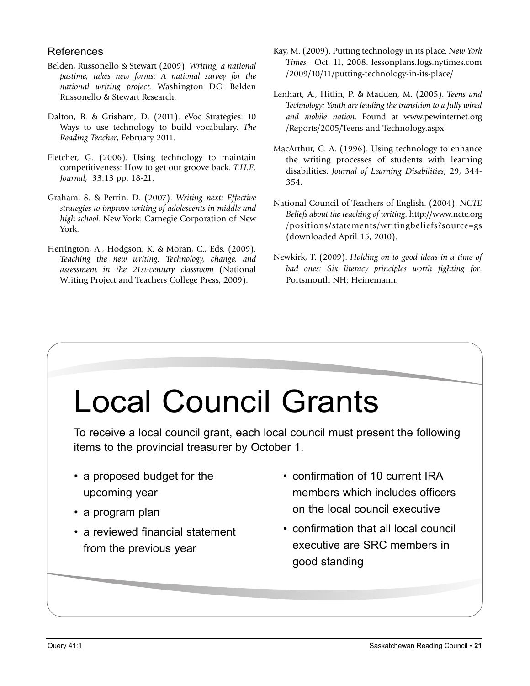### References

- Belden, Russonello & Stewart (2009). *Writing, a national pastime, takes new forms: A national survey for the national writing project*. Washington DC: Belden Russonello & Stewart Research.
- Dalton, B. & Grisham, D. (2011). eVoc Strategies: 10 Ways to use technology to build vocabulary. *The Reading Teacher*, February 2011.
- Fletcher, G. (2006). Using technology to maintain competitiveness: How to get our groove back. *T.H.E. Journal*, 33:13 pp. 18-21.
- Graham, S. & Perrin, D. (2007). *Writing next: Effective strategies to improve writing of adolescents in middle and high school*. New York: Carnegie Corporation of New York.
- Herrington, A., Hodgson, K. & Moran, C., Eds. (2009). *Teaching the new writing: Technology, change, and assessment in the 21st-century classroom* (National Writing Project and Teachers College Press, 2009).
- Kay, M. (2009). Putting technology in its place. *New York Times*, Oct. 11, 2008. lessonplans.logs.nytimes.com /2009/10/11/putting-technology-in-its-place/
- Lenhart, A., Hitlin, P. & Madden, M. (2005). *Teens and Technology: Youth are leading the transition to a fully wired and mobile nation*. Found at www.pewinternet.org /Reports/2005/Teens-and-Technology.aspx
- MacArthur, C. A. (1996). Using technology to enhance the writing processes of students with learning disabilities. *Journal of Learning Disabilities*, 29, 344- 354.
- National Council of Teachers of English. (2004). *NCTE Beliefs about the teaching of writing*. http://www.ncte.org /positions/statements/writingbeliefs?source=gs (downloaded April 15, 2010).
- Newkirk, T. (2009). *Holding on to good ideas in a time of bad ones: Six literacy principles worth fighting for*. Portsmouth NH: Heinemann.

# Local Council Grants

To receive a local council grant, each local council must present the following items to the provincial treasurer by October 1.

- a proposed budget for the upcoming year
- a program plan
- a reviewed financial statement from the previous year
- confirmation of 10 current IRA members which includes officers on the local council executive
- confirmation that all local council executive are SRC members in good standing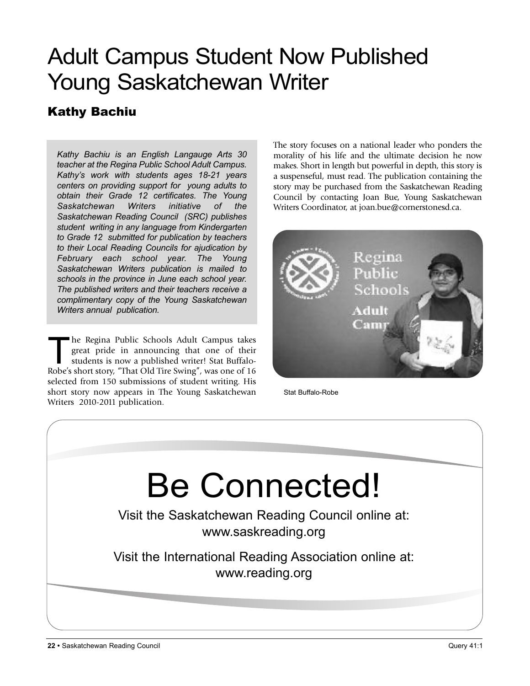# Adult Campus Student Now Published Young Saskatchewan Writer

# Kathy Bachiu

*Kathy Bachiu is an English Langauge Arts 30 teacher at the Regina Public School Adult Campus. Kathy's work with students ages 18-21 years centers on providing support for young adults to obtain their Grade 12 certificates. The Young Saskatchewan Writers initiative of the Saskatchewan Reading Council (SRC) publishes student writing in any language from Kindergarten to Grade 12 submitted for publication by teachers to their Local Reading Councils for ajudication by February each school year. The Young Saskatchewan Writers publication is mailed to schools in the province in June each school year. The published writers and their teachers receive a complimentary copy of the Young Saskatchewan Writers annual publication.*

The Regina Public Schools Adult Campus takes great pride in announcing that one of their students is now a published writer! Stat Buffalo-Robe's short story, "That Old Tire Swing", was one of 16 selected from 150 submissions of student writing. His short story now appears in The Young Saskatchewan Writers 2010-2011 publication.

The story focuses on a national leader who ponders the morality of his life and the ultimate decision he now makes. Short in length but powerful in depth, this story is a suspenseful, must read. The publication containing the story may be purchased from the Saskatchewan Reading Council by contacting Joan Bue, Young Saskatchewan Writers Coordinator, at joan.bue@cornerstonesd.ca.



Stat Buffalo-Robe

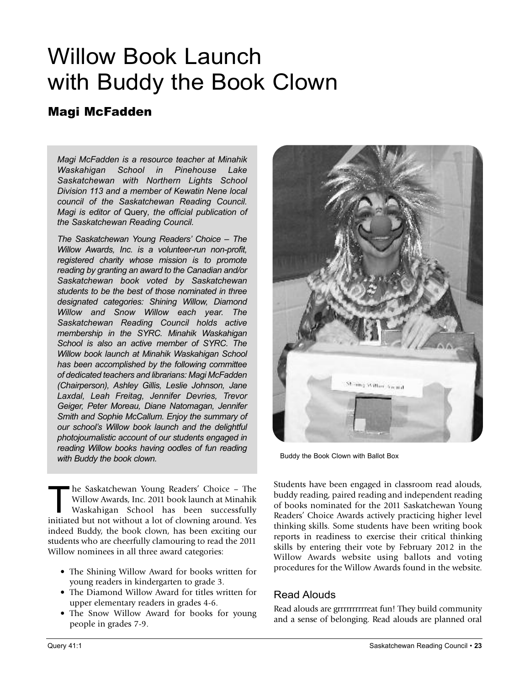# Willow Book Launch with Buddy the Book Clown

# Magi McFadden

*Magi McFadden is a resource teacher at Minahik Waskahigan School in Pinehouse Lake Saskatchewan with Northern Lights School Division 113 and a member of Kewatin Nene local council of the Saskatchewan Reading Council. Magi is editor of* Query*, the official publication of the Saskatchewan Reading Council.*

*The Saskatchewan Young Readers' Choice – The Willow Awards, Inc. is a volunteer-run non-profit, registered charity whose mission is to promote reading by granting an award to the Canadian and/or Saskatchewan book voted by Saskatchewan students to be the best of those nominated in three designated categories: Shining Willow, Diamond Willow and Snow Willow each year. The Saskatchewan Reading Council holds active membership in the SYRC. Minahik Waskahigan School is also an active member of SYRC. The Willow book launch at Minahik Waskahigan School has been accomplished by the following committee of dedicated teachers and librarians: Magi McFadden (Chairperson), Ashley Gillis, Leslie Johnson, Jane Laxdal, Leah Freitag, Jennifer Devries, Trevor Geiger, Peter Moreau, Diane Natomagan, Jennifer Smith and Sophie McCallum. Enjoy the summary of our school's Willow book launch and the delightful photojournalistic account of our students engaged in reading Willow books having oodles of fun reading with Buddy the book clown.*

The Saskatchewan Young Readers' Choice – The<br>Willow Awards, Inc. 2011 book launch at Minahik<br>Waskahigan School has been successfully Willow Awards, Inc. 2011 book launch at Minahik Waskahigan School has been successfully initiated but not without a lot of clowning around. Yes indeed Buddy, the book clown, has been exciting our students who are cheerfully clamouring to read the 2011 Willow nominees in all three award categories:

- The Shining Willow Award for books written for young readers in kindergarten to grade 3.
- The Diamond Willow Award for titles written for upper elementary readers in grades 4-6.
- The Snow Willow Award for books for young people in grades 7-9.



Buddy the Book Clown with Ballot Box

Students have been engaged in classroom read alouds, buddy reading, paired reading and independent reading of books nominated for the 2011 Saskatchewan Young Readers' Choice Awards actively practicing higher level thinking skills. Some students have been writing book reports in readiness to exercise their critical thinking skills by entering their vote by February 2012 in the Willow Awards website using ballots and voting procedures for the Willow Awards found in the website.

### Read Alouds

Read alouds are grrrrrrrrrreat fun! They build community and a sense of belonging. Read alouds are planned oral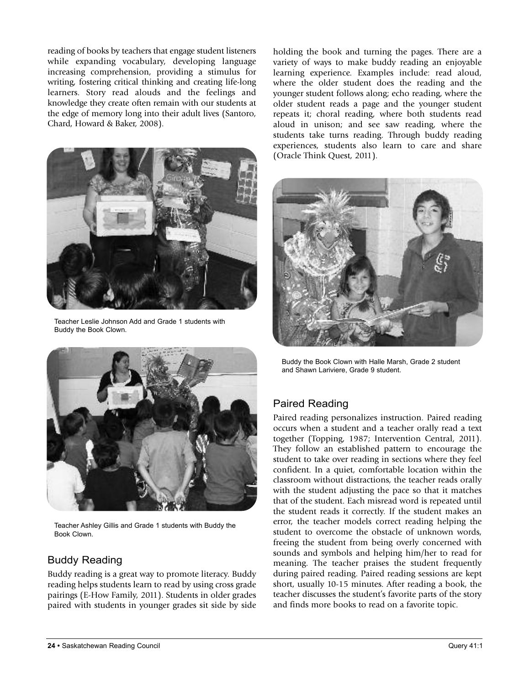reading of books by teachers that engage student listeners while expanding vocabulary, developing language increasing comprehension, providing a stimulus for writing, fostering critical thinking and creating life-long learners. Story read alouds and the feelings and knowledge they create often remain with our students at the edge of memory long into their adult lives (Santoro, Chard, Howard & Baker, 2008).



Teacher Leslie Johnson Add and Grade 1 students with Buddy the Book Clown.



Teacher Ashley Gillis and Grade 1 students with Buddy the Book Clown.

### Buddy Reading

Buddy reading is a great way to promote literacy. Buddy reading helps students learn to read by using cross grade pairings (E-How Family, 2011). Students in older grades paired with students in younger grades sit side by side

holding the book and turning the pages. There are a variety of ways to make buddy reading an enjoyable learning experience. Examples include: read aloud, where the older student does the reading and the younger student follows along; echo reading, where the older student reads a page and the younger student repeats it; choral reading, where both students read aloud in unison; and see saw reading, where the students take turns reading. Through buddy reading experiences, students also learn to care and share (Oracle Think Quest, 2011).



Buddy the Book Clown with Halle Marsh, Grade 2 student and Shawn Lariviere, Grade 9 student.

## Paired Reading

Paired reading personalizes instruction. Paired reading occurs when a student and a teacher orally read a text together (Topping, 1987; Intervention Central, 2011). They follow an established pattern to encourage the student to take over reading in sections where they feel confident. In a quiet, comfortable location within the classroom without distractions, the teacher reads orally with the student adjusting the pace so that it matches that of the student. Each misread word is repeated until the student reads it correctly. If the student makes an error, the teacher models correct reading helping the student to overcome the obstacle of unknown words, freeing the student from being overly concerned with sounds and symbols and helping him/her to read for meaning. The teacher praises the student frequently during paired reading. Paired reading sessions are kept short, usually 10-15 minutes. After reading a book, the teacher discusses the student's favorite parts of the story and finds more books to read on a favorite topic.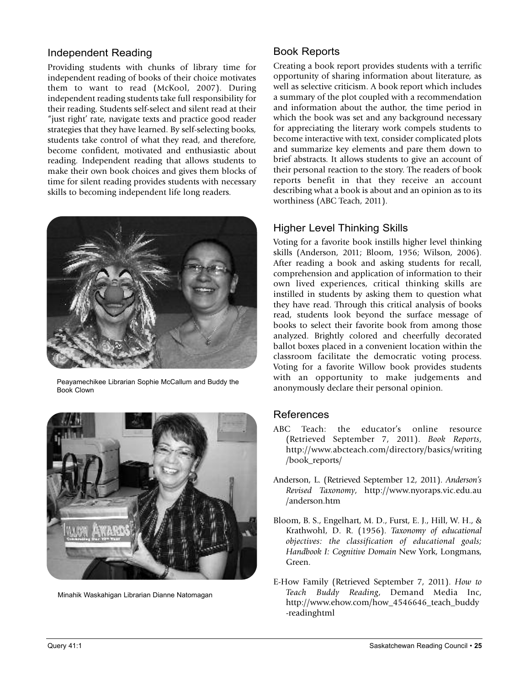### Independent Reading

Providing students with chunks of library time for independent reading of books of their choice motivates them to want to read (McKool, 2007). During independent reading students take full responsibility for their reading. Students self-select and silent read at their "just right' rate, navigate texts and practice good reader strategies that they have learned. By self-selecting books, students take control of what they read, and therefore, become confident, motivated and enthusiastic about reading. Independent reading that allows students to make their own book choices and gives them blocks of time for silent reading provides students with necessary skills to becoming independent life long readers.



Peayamechikee Librarian Sophie McCallum and Buddy the Book Clown



Minahik Waskahigan Librarian Dianne Natomagan

### Book Reports

Creating a book report provides students with a terrific opportunity of sharing information about literature, as well as selective criticism. A book report which includes a summary of the plot coupled with a recommendation and information about the author, the time period in which the book was set and any background necessary for appreciating the literary work compels students to become interactive with text, consider complicated plots and summarize key elements and pare them down to brief abstracts. It allows students to give an account of their personal reaction to the story. The readers of book reports benefit in that they receive an account describing what a book is about and an opinion as to its worthiness (ABC Teach, 2011).

### Higher Level Thinking Skills

Voting for a favorite book instills higher level thinking skills (Anderson, 2011; Bloom, 1956; Wilson, 2006). After reading a book and asking students for recall, comprehension and application of information to their own lived experiences, critical thinking skills are instilled in students by asking them to question what they have read. Through this critical analysis of books read, students look beyond the surface message of books to select their favorite book from among those analyzed. Brightly colored and cheerfully decorated ballot boxes placed in a convenient location within the classroom facilitate the democratic voting process. Voting for a favorite Willow book provides students with an opportunity to make judgements and anonymously declare their personal opinion.

### References

- ABC Teach: the educator's online resource (Retrieved September 7, 2011). *Book Reports*, http://www.abcteach.com/directory/basics/writing /book\_reports/
- Anderson, L. (Retrieved September 12, 2011). *Anderson's Revised Taxonomy*, http://www.nyoraps.vic.edu.au /anderson.htm
- Bloom, B. S., Engelhart, M. D., Furst, E. J., Hill, W. H., & Krathwohl, D. R. (1956). *Taxonomy of educational objectives: the classification of educational goals; Handbook I: Cognitive Domain* New York, Longmans, Green.
- E-How Family (Retrieved September 7, 2011). *How to Teach Buddy Reading*, Demand Media Inc, http://www.ehow.com/how\_4546646\_teach\_buddy -readinghtml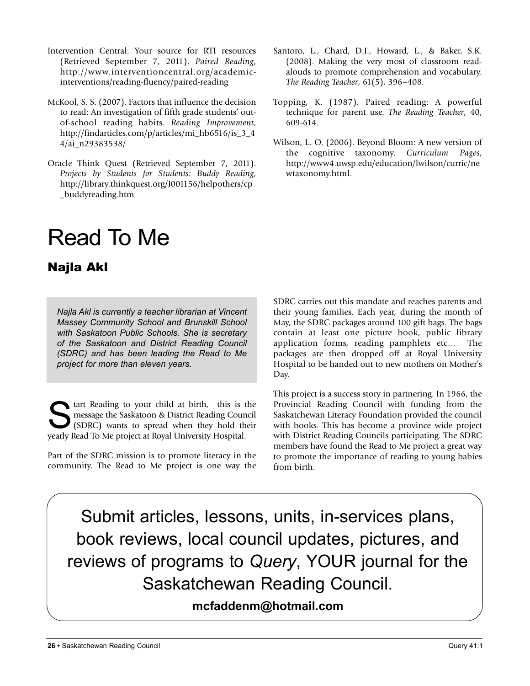- Intervention Central: Your source for RTI resources (Retrieved September 7, 2011). *Paired Reading*, http://www.interventioncentral.org/academicinterventions/reading-fluency/paired-reading
- McKool, S. S. (2007). Factors that influence the decision to read: An investigation of fifth grade students' outof-school reading habits. *Reading Improvement*, http://findarticles.com/p/articles/mi\_hb6516/is\_3\_4 4/ai\_n29383538/
- Oracle Think Quest (Retrieved September 7, 2011). *Projects by Students for Students: Buddy Reading*, http://library.thinkquest.org/J001156/helpothers/cp \_buddyreading.htm

# Read To Me

# Najla Akl

*Najla Akl is currently a teacher librarian at Vincent Massey Community School and Brunskill School with Saskatoon Public Schools. She is secretary of the Saskatoon and District Reading Council (SDRC) and has been leading the Read to Me project for more than eleven years.*

tart Reading to your child at birth, this is the message the Saskatoon & District Reading Council (SDRC) wants to spread when they hold their yearly Read To Me project at Royal University Hospital.

Part of the SDRC mission is to promote literacy in the community. The Read to Me project is one way the

- Santoro, L., Chard, D.J., Howard, L., & Baker, S.K. (2008). Making the very most of classroom readalouds to promote comprehension and vocabulary. *The Reading Teacher*, 61(5), 396–408.
- Topping, K. (1987). Paired reading: A powerful technique for parent use. *The Reading Teacher*, 40, 609-614.
- Wilson, L. O. (2006). Beyond Bloom: A new version of the cognitive taxonomy. *Curriculum Pages*, http://www4.uwsp.edu/education/lwilson/curric/ne wtaxonomy.html.

SDRC carries out this mandate and reaches parents and their young families. Each year, during the month of May, the SDRC packages around 100 gift bags. The bags contain at least one picture book, public library application forms, reading pamphlets etc… The packages are then dropped off at Royal University Hospital to be handed out to new mothers on Mother's Day.

This project is a success story in partnering. In 1966, the Provincial Reading Council with funding from the Saskatchewan Literacy Foundation provided the council with books. This has become a province wide project with District Reading Councils participating. The SDRC members have found the Read to Me project a great way to promote the importance of reading to young babies from birth.

Submit articles, lessons, units, in-services plans, book reviews, local council updates, pictures, and reviews of programs to *Query*, YOUR journal for the Saskatchewan Reading Council.

**mcfaddenm@hotmail.com**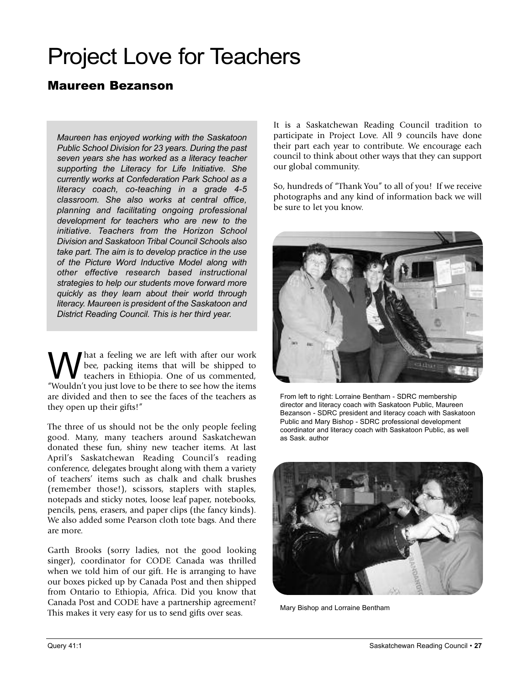# Project Love for Teachers

## Maureen Bezanson

*Maureen has enjoyed working with the Saskatoon Public School Division for 23 years. During the past seven years she has worked as a literacy teacher supporting the Literacy for Life Initiative. She currently works at Confederation Park School as a literacy coach, co-teaching in a grade 4-5 classroom. She also works at central office, planning and facilitating ongoing professional development for teachers who are new to the initiative. Teachers from the Horizon School Division and Saskatoon Tribal Council Schools also take part. The aim is to develop practice in the use of the Picture Word Inductive Model along with other effective research based instructional strategies to help our students move forward more quickly as they learn about their world through literacy. Maureen is president of the Saskatoon and District Reading Council. This is her third year.*

What a feeling we are left with after our work<br>teachers in Ethiopia. One of us commented,<br>"Mouldn't was just law to be there to see hout he items bee, packing items that will be shipped to teachers in Ethiopia. One of us commented, "Wouldn't you just love to be there to see how the items are divided and then to see the faces of the teachers as they open up their gifts!"

The three of us should not be the only people feeling good. Many, many teachers around Saskatchewan donated these fun, shiny new teacher items. At last April's Saskatchewan Reading Council's reading conference, delegates brought along with them a variety of teachers' items such as chalk and chalk brushes (remember those!), scissors, staplers with staples, notepads and sticky notes, loose leaf paper, notebooks, pencils, pens, erasers, and paper clips (the fancy kinds). We also added some Pearson cloth tote bags. And there are more.

Garth Brooks (sorry ladies, not the good looking singer), coordinator for CODE Canada was thrilled when we told him of our gift. He is arranging to have our boxes picked up by Canada Post and then shipped from Ontario to Ethiopia, Africa. Did you know that Canada Post and CODE have a partnership agreement? This makes it very easy for us to send gifts over seas.

It is a Saskatchewan Reading Council tradition to participate in Project Love. All 9 councils have done their part each year to contribute. We encourage each council to think about other ways that they can support our global community.

So, hundreds of "Thank You" to all of you! If we receive photographs and any kind of information back we will be sure to let you know.



From left to right: Lorraine Bentham - SDRC membership director and literacy coach with Saskatoon Public, Maureen Bezanson - SDRC president and literacy coach with Saskatoon Public and Mary Bishop - SDRC professional development coordinator and literacy coach with Saskatoon Public, as well as Sask. author



Mary Bishop and Lorraine Bentham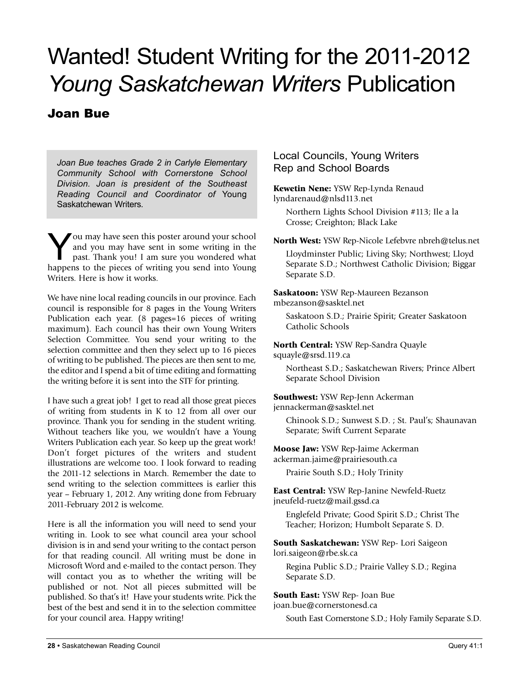# Wanted! Student Writing for the 2011-2012 *Young Saskatchewan Writers* Publication

## Joan Bue

*Joan Bue teaches Grade 2 in Carlyle Elementary Community School with Cornerstone School Division. Joan is president of the Southeast Reading Council and Coordinator of* Young Saskatchewan Writers*.*

You may have seen this poster around your school<br>and you may have sent in some writing in the<br>past. Thank you! I am sure you wondered what and you may have sent in some writing in the happens to the pieces of writing you send into Young Writers. Here is how it works.

We have nine local reading councils in our province. Each council is responsible for 8 pages in the Young Writers Publication each year. (8 pages=16 pieces of writing maximum). Each council has their own Young Writers Selection Committee. You send your writing to the selection committee and then they select up to 16 pieces of writing to be published. The pieces are then sent to me, the editor and I spend a bit of time editing and formatting the writing before it is sent into the STF for printing.

I have such a great job! I get to read all those great pieces of writing from students in K to 12 from all over our province. Thank you for sending in the student writing. Without teachers like you, we wouldn't have a Young Writers Publication each year. So keep up the great work! Don't forget pictures of the writers and student illustrations are welcome too. I look forward to reading the 2011-12 selections in March. Remember the date to send writing to the selection committees is earlier this year – February 1, 2012. Any writing done from February 2011-February 2012 is welcome.

Here is all the information you will need to send your writing in. Look to see what council area your school division is in and send your writing to the contact person for that reading council. All writing must be done in Microsoft Word and e-mailed to the contact person. They will contact you as to whether the writing will be published or not. Not all pieces submitted will be published. So that's it! Have your students write. Pick the best of the best and send it in to the selection committee for your council area. Happy writing!

Local Councils, Young Writers Rep and School Boards

**Kewetin Nene:** YSW Rep-Lynda Renaud lyndarenaud@nlsd113.net

Northern Lights School Division #113; Ile a la Crosse; Creighton; Black Lake

**North West:** YSW Rep-Nicole Lefebvre nbreh@telus.net

Lloydminster Public; Living Sky; Northwest; Lloyd Separate S.D.; Northwest Catholic Division; Biggar Separate S.D.

**Saskatoon:** YSW Rep-Maureen Bezanson mbezanson@sasktel.net

Saskatoon S.D.; Prairie Spirit; Greater Saskatoon Catholic Schools

**North Central:** YSW Rep-Sandra Quayle squayle@srsd.119.ca

Northeast S.D.; Saskatchewan Rivers; Prince Albert Separate School Division

**Southwest:** YSW Rep-Jenn Ackerman jennackerman@sasktel.net

Chinook S.D.; Sunwest S.D. ; St. Paul's; Shaunavan Separate; Swift Current Separate

**Moose Jaw:** YSW Rep-Jaime Ackerman ackerman.jaime@prairiesouth.ca

Prairie South S.D.; Holy Trinity

**East Central:** YSW Rep-Janine Newfeld-Ruetz jneufeld-ruetz@mail.gssd.ca

Englefeld Private; Good Spirit S.D.; Christ The Teacher; Horizon; Humbolt Separate S. D.

**South Saskatchewan:** YSW Rep- Lori Saigeon lori.saigeon@rbe.sk.ca

Regina Public S.D.; Prairie Valley S.D.; Regina Separate S.D.

**South East:** YSW Rep- Joan Bue joan.bue@cornerstonesd.ca

South East Cornerstone S.D.; Holy Family Separate S.D.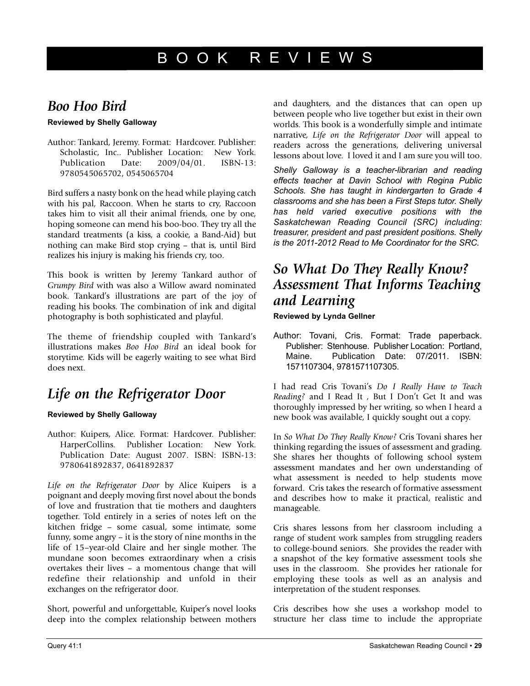#### **BOOK** R E V I E W S

# *Boo Hoo Bird*

#### **Reviewed by Shelly Galloway**

Author: Tankard, Jeremy. Format: Hardcover. Publisher: Scholastic, Inc.. Publisher Location: New York. Publication Date: 2009/04/01. ISBN-13: 9780545065702, 0545065704

Bird suffers a nasty bonk on the head while playing catch with his pal, Raccoon. When he starts to cry, Raccoon takes him to visit all their animal friends, one by one, hoping someone can mend his boo-boo. They try all the standard treatments (a kiss, a cookie, a Band-Aid) but nothing can make Bird stop crying – that is, until Bird realizes his injury is making his friends cry, too.

This book is written by Jeremy Tankard author of *Grumpy Bird* with was also a Willow award nominated book. Tankard's illustrations are part of the joy of reading his books. The combination of ink and digital photography is both sophisticated and playful.

The theme of friendship coupled with Tankard's illustrations makes *Boo Hoo Bird* an ideal book for storytime. Kids will be eagerly waiting to see what Bird does next.

# *Life on the Refrigerator Door*

#### **Reviewed by Shelly Galloway**

Author: Kuipers, Alice. Format: Hardcover. Publisher: HarperCollins. Publisher Location: New York. Publication Date: August 2007. ISBN: ISBN-13: 9780641892837, 0641892837

*Life on the Refrigerator Door* by Alice Kuipers is a poignant and deeply moving first novel about the bonds of love and frustration that tie mothers and daughters together. Told entirely in a series of notes left on the kitchen fridge – some casual, some intimate, some funny, some angry – it is the story of nine months in the life of 15–year-old Claire and her single mother. The mundane soon becomes extraordinary when a crisis overtakes their lives – a momentous change that will redefine their relationship and unfold in their exchanges on the refrigerator door.

Short, powerful and unforgettable, Kuiper's novel looks deep into the complex relationship between mothers and daughters, and the distances that can open up between people who live together but exist in their own worlds. This book is a wonderfully simple and intimate narrative, *Life on the Refrigerator Door* will appeal to readers across the generations, delivering universal lessons about love. I loved it and I am sure you will too.

*Shelly Galloway is a teacher-librarian and reading effects teacher at Davin School with Regina Public Schools. She has taught in kindergarten to Grade 4 classrooms and she has been a First Steps tutor. Shelly has held varied executive positions with the Saskatchewan Reading Council (SRC) including: treasurer, president and past president positions. Shelly is the 2011-2012 Read to Me Coordinator for the SRC.*

# *So What Do They Really Know? Assessment That Informs Teaching and Learning*

**Reviewed by lynda Gellner**

Author: Tovani, Cris. Format: Trade paperback. Publisher: Stenhouse. Publisher Location: Portland, Maine. Publication Date: 07/2011. ISBN: 1571107304, 9781571107305.

I had read Cris Tovani's *Do I Really Have to Teach Reading?* and I Read It , But I Don't Get It and was thoroughly impressed by her writing, so when I heard a new book was available, I quickly sought out a copy.

In *So What Do They Really Know?* Cris Tovani shares her thinking regarding the issues of assessment and grading. She shares her thoughts of following school system assessment mandates and her own understanding of what assessment is needed to help students move forward. Cris takes the research of formative assessment and describes how to make it practical, realistic and manageable.

Cris shares lessons from her classroom including a range of student work samples from struggling readers to college-bound seniors. She provides the reader with a snapshot of the key formative assessment tools she uses in the classroom. She provides her rationale for employing these tools as well as an analysis and interpretation of the student responses.

Cris describes how she uses a workshop model to structure her class time to include the appropriate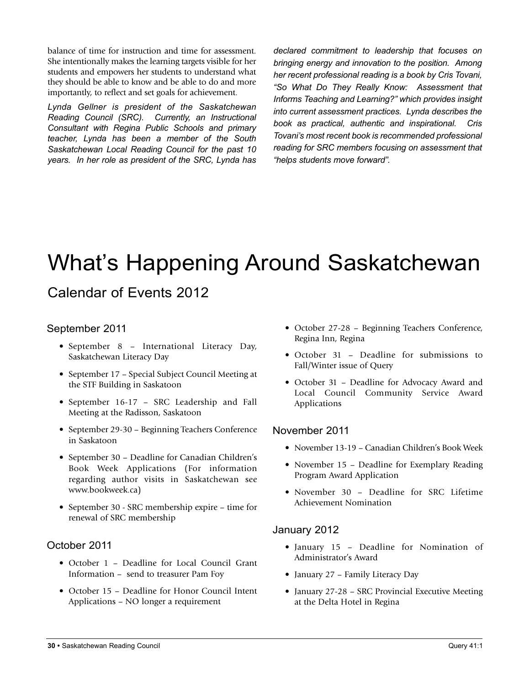balance of time for instruction and time for assessment. She intentionally makes the learning targets visible for her students and empowers her students to understand what they should be able to know and be able to do and more importantly, to reflect and set goals for achievement.

*Lynda Gellner is president of the Saskatchewan Reading Council (SRC). Currently, an Instructional Consultant with Regina Public Schools and primary teacher, Lynda has been a member of the South Saskatchewan Local Reading Council for the past 10 years. In her role as president of the SRC, Lynda has* *declared commitment to leadership that focuses on bringing energy and innovation to the position. Among her recent professional reading is a book by Cris Tovani, "So What Do They Really Know: Assessment that Informs Teaching and Learning?" which provides insight into current assessment practices. Lynda describes the book as practical, authentic and inspirational. Cris Tovani's most recent book is recommended professional reading for SRC members focusing on assessment that "helps students move forward".*

# What's Happening Around Saskatchewan

# Calendar of Events 2012

### September 2011

- September 8 International Literacy Day, Saskatchewan Literacy Day
- September 17 Special Subject Council Meeting at the STF Building in Saskatoon
- September 16-17 SRC Leadership and Fall Meeting at the Radisson, Saskatoon
- September 29-30 Beginning Teachers Conference in Saskatoon
- September 30 Deadline for Canadian Children's Book Week Applications (For information regarding author visits in Saskatchewan see www.bookweek.ca)
- September 30 SRC membership expire time for renewal of SRC membership

### October 2011

- October 1 Deadline for Local Council Grant Information – send to treasurer Pam Foy
- October 15 Deadline for Honor Council Intent Applications – NO longer a requirement
- October 27-28 Beginning Teachers Conference, Regina Inn, Regina
- October 31 Deadline for submissions to Fall/Winter issue of Query
- October 31 Deadline for Advocacy Award and Local Council Community Service Award Applications

#### November 2011

- November 13-19 Canadian Children's Book Week
- November 15 Deadline for Exemplary Reading Program Award Application
- November 30 Deadline for SRC Lifetime Achievement Nomination

### January 2012

- January 15 Deadline for Nomination of Administrator's Award
- January 27 Family Literacy Day
- January 27-28 SRC Provincial Executive Meeting at the Delta Hotel in Regina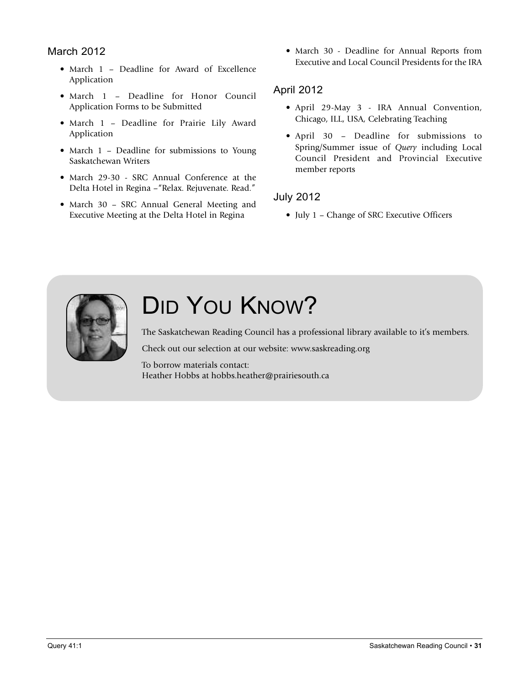### March 2012

- March 1 Deadline for Award of Excellence Application
- March 1 Deadline for Honor Council Application Forms to be Submitted
- March 1 Deadline for Prairie Lily Award Application
- March 1 Deadline for submissions to Young Saskatchewan Writers
- March 29-30 SRC Annual Conference at the Delta Hotel in Regina –"Relax. Rejuvenate. Read."
- March 30 SRC Annual General Meeting and Executive Meeting at the Delta Hotel in Regina

• March 30 - Deadline for Annual Reports from Executive and Local Council Presidents for the IRA

### April 2012

- April 29-May 3 IRA Annual Convention, Chicago, ILL, USA, Celebrating Teaching
- April 30 Deadline for submissions to Spring/Summer issue of *Query* including Local Council President and Provincial Executive member reports

### July 2012

• July 1 – Change of SRC Executive Officers



# DID YOU KNOW?

The Saskatchewan Reading Council has a professional library available to it's members.

Check out our selection at our website: www.saskreading.org

To borrow materials contact: Heather Hobbs at hobbs.heather@prairiesouth.ca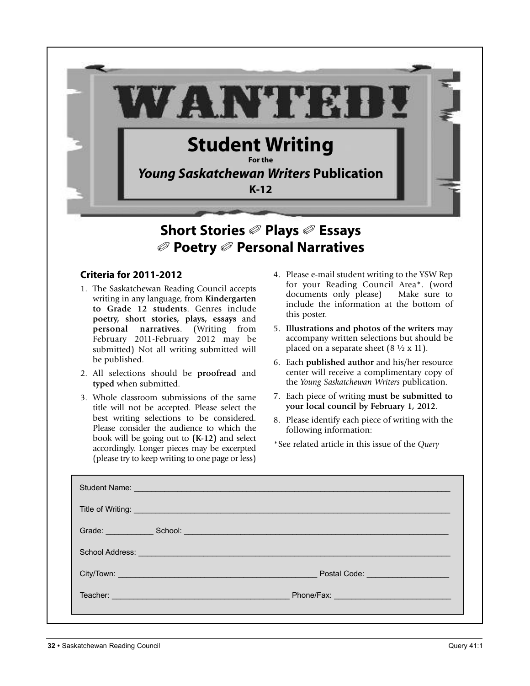

# **Short Stories** ✐ **Plays** ✐ **Essays** ✐ **Poetry** ✐ **Personal Narratives**

#### **Criteria for 2011-2012**

- 1. The Saskatchewan Reading Council accepts writing in any language, from **Kindergarten to Grade 12 students**. Genres include **poetry, short stories, plays, essays** and **personal narratives**. (Writing from February 2011-February 2012 may be submitted) Not all writing submitted will be published.
- 2. All selections should be **proofread** and **typed** when submitted.
- 3. Whole classroom submissions of the same title will not be accepted. Please select the best writing selections to be considered. Please consider the audience to which the book will be going out to **(K-12)** and select accordingly. Longer pieces may be excerpted (please try to keep writing to one page or less)
- 4. Please e-mail student writing to the YSW Rep for your Reading Council Area\*. (word documents only please) Make sure to include the information at the bottom of this poster.
- 5. **Illustrations and photos of the writers** may accompany written selections but should be placed on a separate sheet  $(8 \frac{1}{2} \times 11)$ .
- 6. Each **published author** and his/her resource center will receive a complimentary copy of the *Young Saskatchewan Writers* publication.
- 7. Each piece of writing **must be submitted to your local council by February 1, 2012**.
- 8. Please identify each piece of writing with the following information:

\*See related article in this issue of the *Query*

| Student Name: North Communication of the Communication of the Communication of the Communication of the Communication of the Communication of the Communication of the Communication of the Communication of the Communication |                                                                                                                                                                                                                                      |
|--------------------------------------------------------------------------------------------------------------------------------------------------------------------------------------------------------------------------------|--------------------------------------------------------------------------------------------------------------------------------------------------------------------------------------------------------------------------------------|
|                                                                                                                                                                                                                                | Title of Writing: <b>All and Street and Street and Street and Street and Street and Street and Street and Street and Street and Street and Street and Street and Street and Street and Street and Street and Street and Street a</b> |
|                                                                                                                                                                                                                                | Grade: School: School: School: School: Superintendent School: School: School: School: School: School: School: School: School: School: School: School: School: School: School: School: School: School: School: School: School:        |
| School Address: <u>Communication and Communication</u>                                                                                                                                                                         |                                                                                                                                                                                                                                      |
|                                                                                                                                                                                                                                |                                                                                                                                                                                                                                      |
|                                                                                                                                                                                                                                |                                                                                                                                                                                                                                      |
|                                                                                                                                                                                                                                |                                                                                                                                                                                                                                      |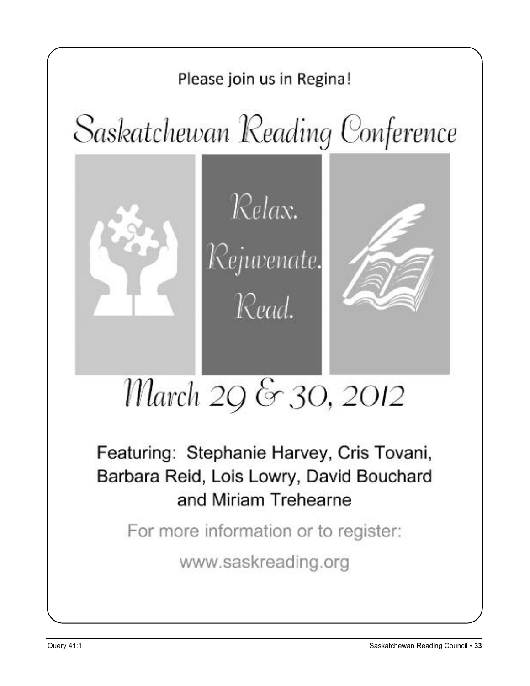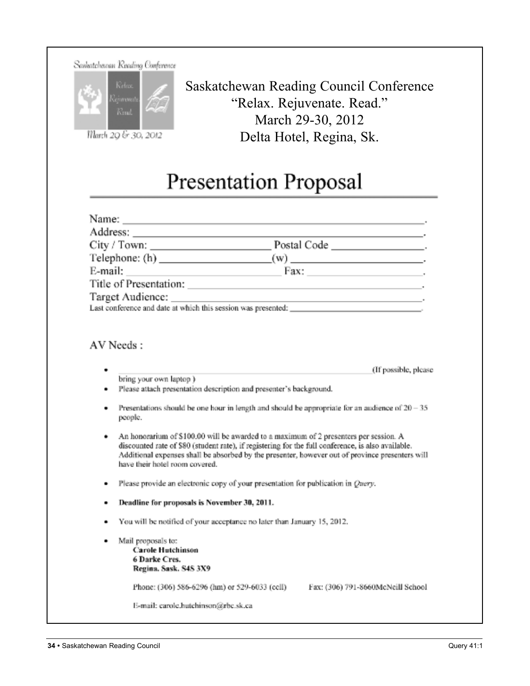| Saskatchewan Reading Conferenc |  |  |
|--------------------------------|--|--|
|                                |  |  |



March 29 & 30, 2012

Saskatchewan Reading Council Conference "Relax. Rejuvenate. Read." March 29-30, 2012 Delta Hotel, Regina, Sk.

# **Presentation Proposal**

|   | Name: $\frac{1}{2}$ Name: $\frac{1}{2}$ Name: $\frac{1}{2}$ Name: $\frac{1}{2}$ Name: $\frac{1}{2}$ Name: $\frac{1}{2}$ Name: $\frac{1}{2}$ Name: $\frac{1}{2}$ Name: $\frac{1}{2}$ Name: $\frac{1}{2}$ Name: $\frac{1}{2}$ Name: $\frac{1}{2}$ Name: $\frac{1}{2}$ Name: $\frac{1}{2$                                           |                      |  |  |
|---|----------------------------------------------------------------------------------------------------------------------------------------------------------------------------------------------------------------------------------------------------------------------------------------------------------------------------------|----------------------|--|--|
|   |                                                                                                                                                                                                                                                                                                                                  |                      |  |  |
|   |                                                                                                                                                                                                                                                                                                                                  |                      |  |  |
|   | Telephone: (h) $(w)$ (w) $\qquad \qquad$ (w)                                                                                                                                                                                                                                                                                     |                      |  |  |
|   | E-mail: $\qquad \qquad$<br>Fax: $\qquad \qquad$                                                                                                                                                                                                                                                                                  |                      |  |  |
|   | Title of Presentation:                                                                                                                                                                                                                                                                                                           |                      |  |  |
|   |                                                                                                                                                                                                                                                                                                                                  |                      |  |  |
|   |                                                                                                                                                                                                                                                                                                                                  |                      |  |  |
|   | AV Needs:                                                                                                                                                                                                                                                                                                                        |                      |  |  |
| ۰ | bring your own laptop)<br>Please attach presentation description and presenter's background.                                                                                                                                                                                                                                     | (If possible, please |  |  |
| ٠ | Presentations should be one hour in length and should be appropriate for an audience of $20 - 35$<br>people.                                                                                                                                                                                                                     |                      |  |  |
| ٠ | An honorarium of \$100.00 will be awarded to a maximum of 2 presenters per session. A<br>discounted rate of \$80 (student rate), if registering for the full conference, is also available.<br>Additional expenses shall be absorbed by the presenter, however out of province presenters will<br>have their hotel room covered. |                      |  |  |
| ٠ | Please provide an electronic copy of your presentation for publication in Query.                                                                                                                                                                                                                                                 |                      |  |  |
| ٠ | Deadline for proposals is November 30, 2011.                                                                                                                                                                                                                                                                                     |                      |  |  |
| ٠ | You will be notified of your acceptance no later than January 15, 2012.                                                                                                                                                                                                                                                          |                      |  |  |
| ٠ | Mail proposals to:<br><b>Carole Hutchinson</b><br>6 Darke Cres.<br>Regina. Sask. S4S 3X9                                                                                                                                                                                                                                         |                      |  |  |
|   | Phone: (306) 586-6296 (hm) or 529-6033 (cell)<br>Fax: (306) 791-8660McNeill School                                                                                                                                                                                                                                               |                      |  |  |
|   | E-mail: carole.hutchinson@rbc.sk.ca                                                                                                                                                                                                                                                                                              |                      |  |  |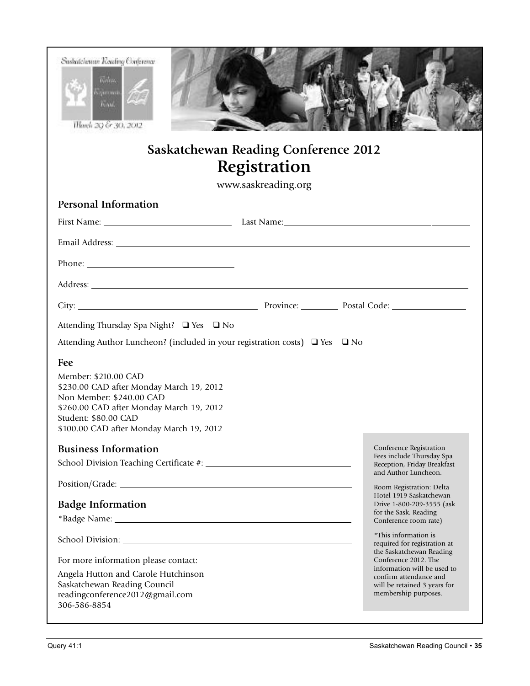| Suskatchewan Reading Conference<br><b>Geban</b><br>диний<br>KAM.<br>Harch 20 & 30, 2012                                                                                                                                             |                                                             |                                                                                                                                                                   |
|-------------------------------------------------------------------------------------------------------------------------------------------------------------------------------------------------------------------------------------|-------------------------------------------------------------|-------------------------------------------------------------------------------------------------------------------------------------------------------------------|
|                                                                                                                                                                                                                                     | <b>Saskatchewan Reading Conference 2012</b><br>Registration |                                                                                                                                                                   |
|                                                                                                                                                                                                                                     | www.saskreading.org                                         |                                                                                                                                                                   |
| <b>Personal Information</b>                                                                                                                                                                                                         |                                                             |                                                                                                                                                                   |
|                                                                                                                                                                                                                                     |                                                             |                                                                                                                                                                   |
|                                                                                                                                                                                                                                     |                                                             |                                                                                                                                                                   |
|                                                                                                                                                                                                                                     |                                                             |                                                                                                                                                                   |
| Address: <u>Address:</u> Address: Address: Address: Address: Address: Address: Address: Address: Address: Address: Address: Address: Address: Address: Address: Address: Address: Address: Address: Address: Address: Address: Addr |                                                             |                                                                                                                                                                   |
|                                                                                                                                                                                                                                     |                                                             |                                                                                                                                                                   |
| Attending Thursday Spa Night? □ Yes □ No                                                                                                                                                                                            |                                                             |                                                                                                                                                                   |
| Attending Author Luncheon? (included in your registration costs) □ Yes □ No                                                                                                                                                         |                                                             |                                                                                                                                                                   |
| Fee<br>Member: \$210.00 CAD<br>\$230.00 CAD after Monday March 19, 2012<br>Non Member: \$240.00 CAD<br>\$260.00 CAD after Monday March 19, 2012<br>Student: \$80.00 CAD<br>\$100.00 CAD after Monday March 19, 2012                 |                                                             |                                                                                                                                                                   |
| <b>Business Information</b>                                                                                                                                                                                                         |                                                             | Conference Registration<br>Fees include Thursday Spa                                                                                                              |
|                                                                                                                                                                                                                                     |                                                             | Reception, Friday Breakfast<br>and Author Luncheon.                                                                                                               |
|                                                                                                                                                                                                                                     |                                                             | Room Registration: Delta<br>Hotel 1919 Saskatchewan                                                                                                               |
| <b>Badge Information</b>                                                                                                                                                                                                            |                                                             | Drive 1-800-209-3555 (ask<br>for the Sask. Reading                                                                                                                |
|                                                                                                                                                                                                                                     |                                                             | Conference room rate)                                                                                                                                             |
|                                                                                                                                                                                                                                     |                                                             | *This information is<br>required for registration at                                                                                                              |
| For more information please contact:<br>Angela Hutton and Carole Hutchinson<br>Saskatchewan Reading Council<br>readingconference2012@gmail.com<br>306-586-8854                                                                      |                                                             | the Saskatchewan Reading<br>Conference 2012. The<br>information will be used to<br>confirm attendance and<br>will be retained 3 years for<br>membership purposes. |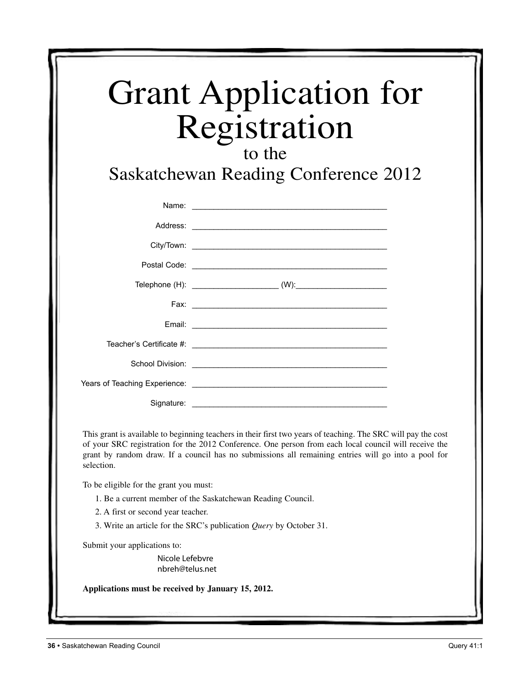| <b>Grant Application for</b> |  |
|------------------------------|--|
| Registration                 |  |

# to the

Saskatchewan Reading Conference 2012

|            | Name: <u>experience</u> and the second contract of the second contract of the second contract of the second contract of the second contract of the second contract of the second contract of the second contract of the second cont  |
|------------|--------------------------------------------------------------------------------------------------------------------------------------------------------------------------------------------------------------------------------------|
|            |                                                                                                                                                                                                                                      |
|            |                                                                                                                                                                                                                                      |
|            |                                                                                                                                                                                                                                      |
|            |                                                                                                                                                                                                                                      |
|            |                                                                                                                                                                                                                                      |
|            |                                                                                                                                                                                                                                      |
|            |                                                                                                                                                                                                                                      |
|            | School Division: <u>Contract of the Contract of the Contract of the Contract of the Contract of the Contract of the Contract of the Contract of the Contract of the Contract of the Contract of the Contract of the Contract of </u> |
|            |                                                                                                                                                                                                                                      |
| Signature: |                                                                                                                                                                                                                                      |

This grant is available to beginning teachers in their first two years of teaching. The SRC will pay the cost of your SRC registration for the 2012 Conference. One person from each local council will receive the grant by random draw. If a council has no submissions all remaining entries will go into a pool for selection.

To be eligible for the grant you must:

- 1. Be a current member of the Saskatchewan Reading Council.
- 2. A first or second year teacher.
- 3. Write an article for the SRC's publication *Query* by October 31.

Submit your applications to:

Nicole Lefebvre nbreh@telus.net

**Applications must be received by January 15, 2012.**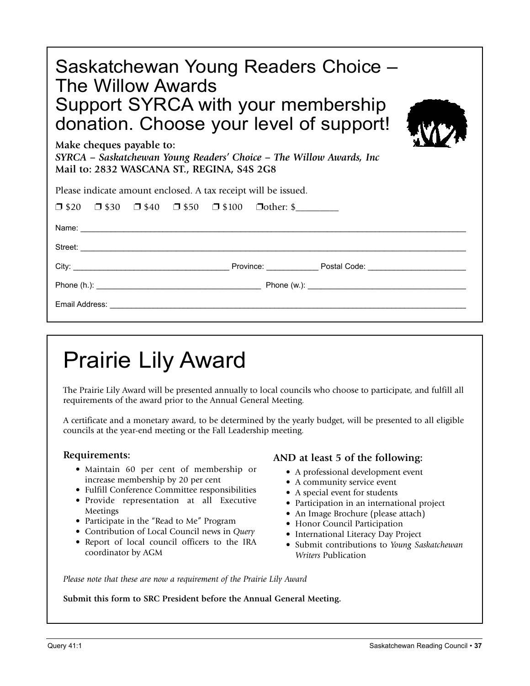| Saskatchewan Young Readers Choice -<br>The Willow Awards<br>Support SYRCA with your membership<br>donation. Choose your level of support!<br>Make cheques payable to:<br>SYRCA – Saskatchewan Young Readers' Choice – The Willow Awards, Inc<br>Mail to: 2832 WASCANA ST., REGINA, S4S 2G8 |  |
|--------------------------------------------------------------------------------------------------------------------------------------------------------------------------------------------------------------------------------------------------------------------------------------------|--|
| Please indicate amount enclosed. A tax receipt will be issued.                                                                                                                                                                                                                             |  |
| $\Box$ \$20 $\Box$ \$30 $\Box$ \$40 $\Box$ \$50 $\Box$ \$100 $\Box$ other: \$                                                                                                                                                                                                              |  |
|                                                                                                                                                                                                                                                                                            |  |
|                                                                                                                                                                                                                                                                                            |  |
|                                                                                                                                                                                                                                                                                            |  |
|                                                                                                                                                                                                                                                                                            |  |
|                                                                                                                                                                                                                                                                                            |  |

# Prairie Lily Award

The Prairie Lily Award will be presented annually to local councils who choose to participate, and fulfill all requirements of the award prior to the Annual General Meeting.

A certificate and a monetary award, to be determined by the yearly budget, will be presented to all eligible councils at the year-end meeting or the Fall Leadership meeting.

#### **Requirements:**

- Maintain 60 per cent of membership or increase membership by 20 per cent
- Fulfill Conference Committee responsibilities
- Provide representation at all Executive Meetings
- Participate in the "Read to Me" Program
- Contribution of Local Council news in *Query*
- Report of local council officers to the IRA coordinator by AGM

### **AND at least 5 of the following:**

- A professional development event
- A community service event
- A special event for students
- Participation in an international project
- An Image Brochure (please attach)
- Honor Council Participation
- International Literacy Day Project
- Submit contributions to *Young Saskatchewan Writers* Publication

*Please note that these are now a requirement of the Prairie Lily Award*

**Submit this form to SRC President before the Annual General Meeting.**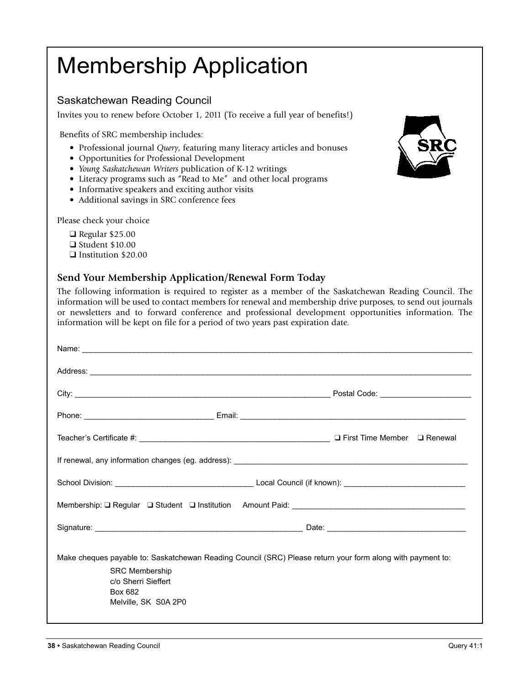# Membership Application

### Saskatchewan Reading Council

Invites you to renew before October 1, 2011 (To receive a full year of benefits!)

Benefits of SRC membership includes:

- Professional journal *Query*, featuring many literacy articles and bonuses
- Opportunities for Professional Development
- *Young Saskatchewan Writers* publication of K-12 writings
- Literacy programs such as "Read to Me" and other local programs
- Informative speakers and exciting author visits
- Additional savings in SRC conference fees

Please check your choice

- $\Box$  Regular \$25.00  $\Box$  Student \$10.00
- **q** Institution \$20.00

#### **Send Your Membership Application/Renewal Form Today**

The following information is required to register as a member of the Saskatchewan Reading Council. The information will be used to contact members for renewal and membership drive purposes, to send out journals or newsletters and to forward conference and professional development opportunities information. The information will be kept on file for a period of two years past expiration date.

| Name: <u>example and a series of the series of the series of the series of the series of the series of the series of the series of the series of the series of the series of the series of the series of the series of the serie</u> |  |
|--------------------------------------------------------------------------------------------------------------------------------------------------------------------------------------------------------------------------------------|--|
| Address: <u>Address:</u> Address: Address: Address: Address: Address: Address: Address: Address: Address: Address: Address: Address: Address: Address: Address: Address: Address: Address: Address: Address: Address: Address: Addr  |  |
|                                                                                                                                                                                                                                      |  |
|                                                                                                                                                                                                                                      |  |
|                                                                                                                                                                                                                                      |  |
|                                                                                                                                                                                                                                      |  |
|                                                                                                                                                                                                                                      |  |
|                                                                                                                                                                                                                                      |  |
|                                                                                                                                                                                                                                      |  |
| Make cheques payable to: Saskatchewan Reading Council (SRC) Please return your form along with payment to:<br><b>SRC Membership</b><br>c/o Sherri Sieffert<br>Box 682<br>Melville, SK S0A 2P0                                        |  |

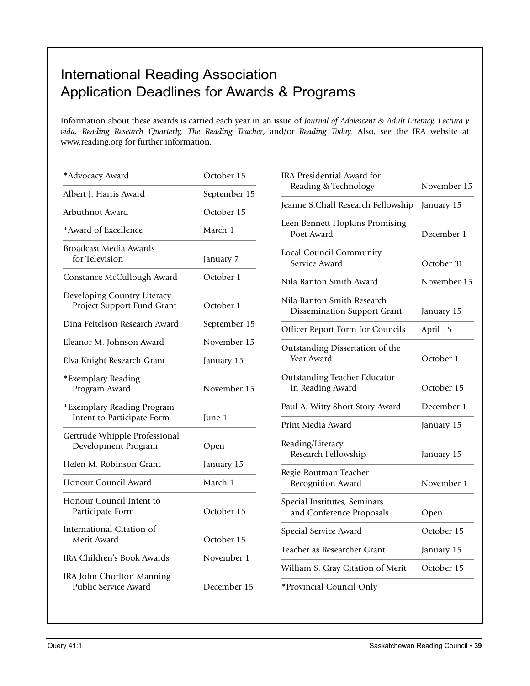# International Reading Association Application Deadlines for Awards & Programs

Information about these awards is carried each year in an issue of *Journal of Adolescent & Adult Literacy, Lectura y vida, Reading Research Quarterly, The Reading Teacher*, and/or *Reading Today*. Also, see the IRA website at www.reading.org for further information.

| *Advocacy Award                                           | October 15   |
|-----------------------------------------------------------|--------------|
| Albert J. Harris Award                                    | September 15 |
| Arbuthnot Award                                           | October 15   |
| *Award of Excellence                                      | March 1      |
| <b>Broadcast Media Awards</b><br>for Television           | January 7    |
| Constance McCullough Award                                | October 1    |
| Developing Country Literacy<br>Project Support Fund Grant | October 1    |
| Dina Feitelson Research Award                             | September 15 |
| Eleanor M. Johnson Award                                  | November 15  |
| Elva Knight Research Grant                                | January 15   |
| *Exemplary Reading<br>Program Award                       | November 15  |
| *Exemplary Reading Program<br>Intent to Participate Form  | June 1       |
| Gertrude Whipple Professional<br>Development Program      | Open         |
| Helen M. Robinson Grant                                   | January 15   |
| Honour Council Award                                      | March 1      |
| Honour Council Intent to<br>Participate Form              | October 15   |
| International Citation of<br>Merit Award                  | October 15   |
| IRA Children's Book Awards                                | November 1   |
| IRA John Chorlton Manning<br>Public Service Award         | December 15  |

| IRA Presidential Award for<br>Reading & Technology               | November 15 |
|------------------------------------------------------------------|-------------|
| Jeanne S.Chall Research Fellowship                               | January 15  |
| Leen Bennett Hopkins Promising<br>Poet Award                     | December 1  |
| Local Council Community<br>Service Award                         | October 31  |
| Nila Banton Smith Award                                          | November 15 |
| Nila Banton Smith Research<br><b>Dissemination Support Grant</b> | January 15  |
| Officer Report Form for Councils                                 | April 15    |
| Outstanding Dissertation of the<br>Year Award                    | October 1   |
| Outstanding Teacher Educator<br>in Reading Award                 | October 15  |
| Paul A. Witty Short Story Award                                  | December 1  |
| Print Media Award                                                | January 15  |
| Reading/Literacy<br>Research Fellowship                          | January 15  |
| Regie Routman Teacher<br>Recognition Award                       | November 1  |
| Special Institutes, Seminars<br>and Conference Proposals         | Open        |
| Special Service Award                                            | October 15  |
| Teacher as Researcher Grant                                      | January 15  |
| William S. Gray Citation of Merit                                | October 15  |
| *Provincial Council Only                                         |             |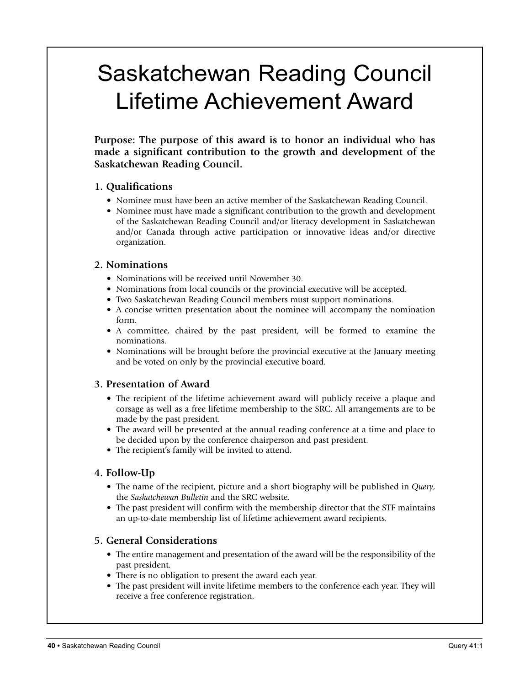# Saskatchewan Reading Council Lifetime Achievement Award

**Purpose: The purpose of this award is to honor an individual who has made a significant contribution to the growth and development of the Saskatchewan Reading Council.**

#### **1. Qualifications**

- Nominee must have been an active member of the Saskatchewan Reading Council.
- Nominee must have made a significant contribution to the growth and development of the Saskatchewan Reading Council and/or literacy development in Saskatchewan and/or Canada through active participation or innovative ideas and/or directive organization.

#### **2. Nominations**

- Nominations will be received until November 30.
- Nominations from local councils or the provincial executive will be accepted.
- Two Saskatchewan Reading Council members must support nominations.
- A concise written presentation about the nominee will accompany the nomination form.
- A committee, chaired by the past president, will be formed to examine the nominations.
- Nominations will be brought before the provincial executive at the January meeting and be voted on only by the provincial executive board.

#### **3. Presentation of Award**

- The recipient of the lifetime achievement award will publicly receive a plaque and corsage as well as a free lifetime membership to the SRC. All arrangements are to be made by the past president.
- The award will be presented at the annual reading conference at a time and place to be decided upon by the conference chairperson and past president.
- The recipient's family will be invited to attend.

#### **4. Follow-Up**

- The name of the recipient, picture and a short biography will be published in *Query*, the *Saskatchewan Bulletin* and the SRC website.
- The past president will confirm with the membership director that the STF maintains an up-to-date membership list of lifetime achievement award recipients.

#### **5. General Considerations**

- The entire management and presentation of the award will be the responsibility of the past president.
- There is no obligation to present the award each year.
- The past president will invite lifetime members to the conference each year. They will receive a free conference registration.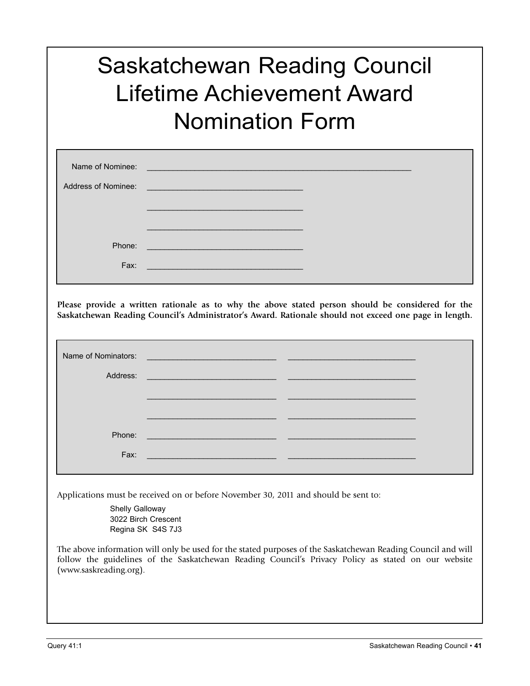# Saskatchewan Reading Council Lifetime Achievement Award Nomination Form

| Name of Nominee:    | <u> 1989 - Johann Stein, marwolaethau (b. 1989)</u>                            |  |
|---------------------|--------------------------------------------------------------------------------|--|
| Address of Nominee: | <u> Andrew Maria (1989)</u>                                                    |  |
|                     |                                                                                |  |
|                     |                                                                                |  |
| Phone:              |                                                                                |  |
| Fax:                | and the control of the control of the control of the control of the control of |  |

**Please provide a written rationale as to why the above stated person should be considered for the Saskatchewan Reading Council's Administrator's Award. Rationale should not exceed one page in length.**

| Name of Nominators: | <u> 1980 - Jan Barnett, fransk politiker (d. 1980)</u>                                                                |  |
|---------------------|-----------------------------------------------------------------------------------------------------------------------|--|
|                     |                                                                                                                       |  |
| Address:            | <u> 1989 - Johann Stone, mars et al. (</u> † 1920)                                                                    |  |
|                     |                                                                                                                       |  |
|                     |                                                                                                                       |  |
|                     |                                                                                                                       |  |
|                     |                                                                                                                       |  |
| Phone:              | <u> 1999 - Johann Harry Harry Harry Harry Harry Harry Harry Harry Harry Harry Harry Harry Harry Harry Harry Harry</u> |  |
|                     |                                                                                                                       |  |
| Fax:                | <u> 1990 - Jan Barnett, fransk politiker (d. 1980)</u>                                                                |  |
|                     |                                                                                                                       |  |
|                     |                                                                                                                       |  |
|                     | Applications must be received on or before November 30, 2011 and should be sent to:                                   |  |

Shelly Galloway 3022 Birch Crescent Regina SK S4S 7J3

The above information will only be used for the stated purposes of the Saskatchewan Reading Council and will follow the guidelines of the Saskatchewan Reading Council's Privacy Policy as stated on our website (www.saskreading.org).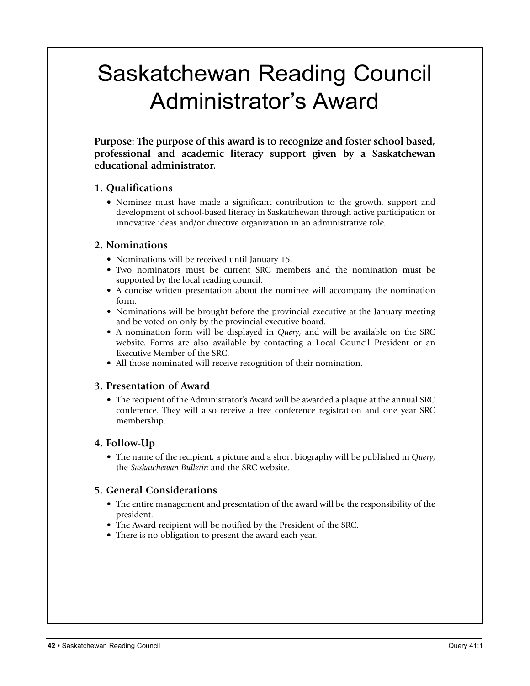# Saskatchewan Reading Council Administrator's Award

**Purpose: The purpose of this award is to recognize and foster school based, professional and academic literacy support given by a Saskatchewan educational administrator.**

#### **1. Qualifications**

• Nominee must have made a significant contribution to the growth, support and development of school-based literacy in Saskatchewan through active participation or innovative ideas and/or directive organization in an administrative role.

#### **2. Nominations**

- Nominations will be received until January 15.
- Two nominators must be current SRC members and the nomination must be supported by the local reading council.
- A concise written presentation about the nominee will accompany the nomination form.
- Nominations will be brought before the provincial executive at the January meeting and be voted on only by the provincial executive board.
- A nomination form will be displayed in *Query*, and will be available on the SRC website. Forms are also available by contacting a Local Council President or an Executive Member of the SRC.
- All those nominated will receive recognition of their nomination.

### **3. Presentation of Award**

• The recipient of the Administrator's Award will be awarded a plaque at the annual SRC conference. They will also receive a free conference registration and one year SRC membership.

### **4. Follow-Up**

• The name of the recipient, a picture and a short biography will be published in *Query*, the *Saskatchewan Bulletin* and the SRC website.

### **5. General Considerations**

- The entire management and presentation of the award will be the responsibility of the president.
- The Award recipient will be notified by the President of the SRC.
- There is no obligation to present the award each year.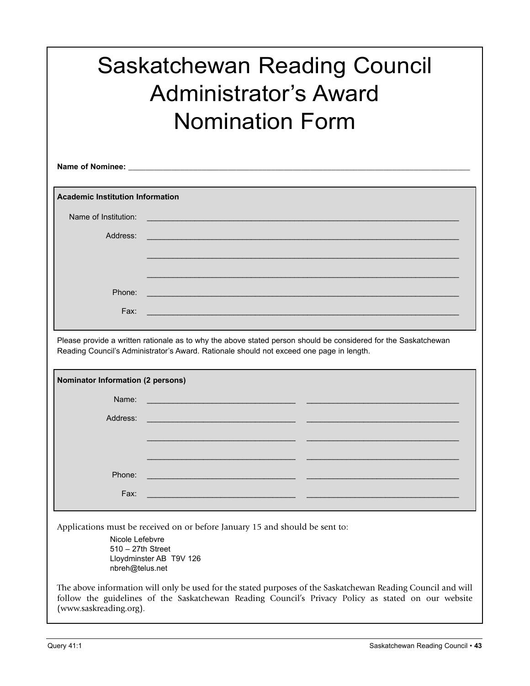|                                         | <b>Saskatchewan Reading Council</b><br><b>Administrator's Award</b><br><b>Nomination Form</b>                                                                                                              |
|-----------------------------------------|------------------------------------------------------------------------------------------------------------------------------------------------------------------------------------------------------------|
|                                         |                                                                                                                                                                                                            |
| <b>Academic Institution Information</b> |                                                                                                                                                                                                            |
| Name of Institution:                    |                                                                                                                                                                                                            |
| Address:                                |                                                                                                                                                                                                            |
|                                         |                                                                                                                                                                                                            |
| Phone:                                  |                                                                                                                                                                                                            |
| Fax:                                    |                                                                                                                                                                                                            |
|                                         | Please provide a written rationale as to why the above stated person should be considered for the Saskatchewan<br>Reading Council's Administrator's Award. Rationale should not exceed one page in length. |
| Nominator Information (2 persons)       |                                                                                                                                                                                                            |
| Name:                                   |                                                                                                                                                                                                            |
| Address:                                |                                                                                                                                                                                                            |

Applications must be received on or before January 15 and should be sent to:

Nicole Lefebvre 510 – 27th Street Lloydminster AB T9V 126 nbreh@telus.net

The above information will only be used for the stated purposes of the Saskatchewan Reading Council and will follow the guidelines of the Saskatchewan Reading Council's Privacy Policy as stated on our website (www.saskreading.org).

 $\_$  , and the state of the state of the state of the state of the state of the state of the state of the state of the state of the state of the state of the state of the state of the state of the state of the state of the

 $\_$  , and the state of the state of the state of the state of the state of the state of the state of the state of the state of the state of the state of the state of the state of the state of the state of the state of the

Phone: \_\_\_\_\_\_\_\_\_\_\_\_\_\_\_\_\_\_\_\_\_\_\_\_\_\_\_\_\_\_\_\_\_\_\_\_\_\_\_\_\_\_\_\_\_\_\_\_\_\_\_\_\_\_\_\_\_\_\_\_\_\_\_\_\_\_\_\_\_\_\_\_

Fax: \_\_\_\_\_\_\_\_\_\_\_\_\_\_\_\_\_\_\_\_\_\_\_\_\_\_\_\_\_\_\_\_\_\_\_\_\_\_\_\_\_\_\_\_\_\_\_\_\_\_\_\_\_\_\_\_\_\_\_\_\_\_\_\_\_\_\_\_\_\_\_\_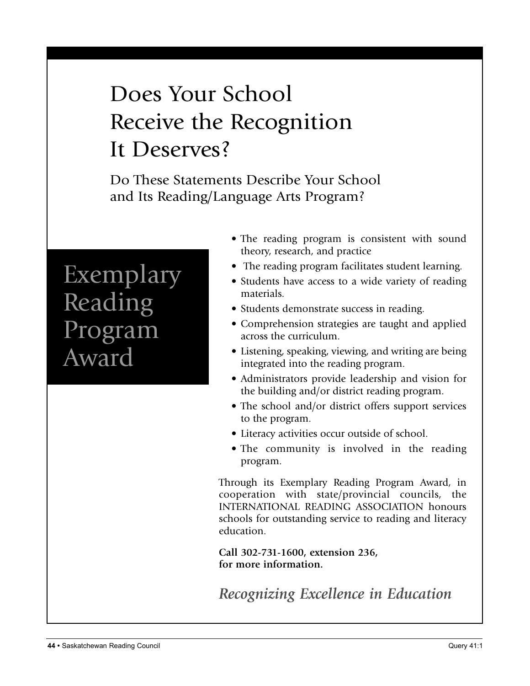# Does Your School Receive the Recognition It Deserves?

Do These Statements Describe Your School and Its Reading/Language Arts Program?

# Exemplary Reading Program Award

- The reading program is consistent with sound theory, research, and practice
- The reading program facilitates student learning.
- Students have access to a wide variety of reading materials.
- Students demonstrate success in reading.
- Comprehension strategies are taught and applied across the curriculum.
- Listening, speaking, viewing, and writing are being integrated into the reading program.
- Administrators provide leadership and vision for the building and/or district reading program.
- The school and/or district offers support services to the program.
- Literacy activities occur outside of school.
- The community is involved in the reading program.

Through its Exemplary Reading Program Award, in cooperation with state/provincial councils, the INTERNATIONAL READING ASSOCIATION honours schools for outstanding service to reading and literacy education.

**Call 302-731-1600, extension 236, for more information.**

*Recognizing Excellence in Education*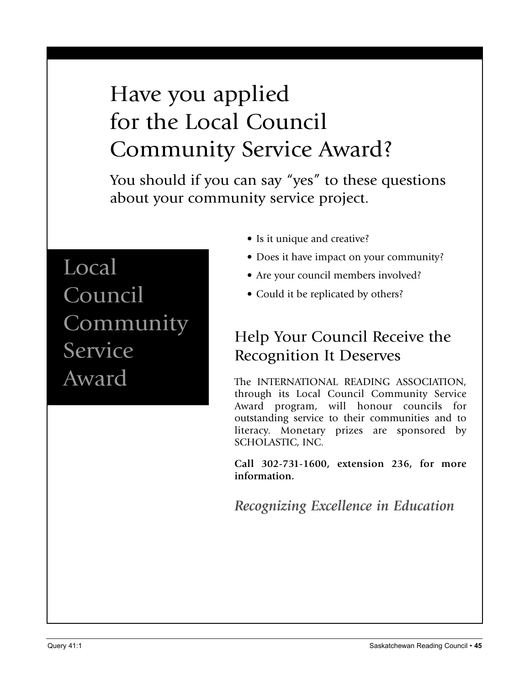# Have you applied for the Local Council Community Service Award?

You should if you can say "yes" to these questions about your community service project.

Local Council Community Service Award

- Is it unique and creative?
- Does it have impact on your community?
- Are your council members involved?
- Could it be replicated by others?

# Help Your Council Receive the Recognition It Deserves

The INTERNATIONAL READING ASSOCIATION, through its Local Council Community Service Award program, will honour councils for outstanding service to their communities and to literacy. Monetary prizes are sponsored by SCHOLASTIC, INC.

**Call 302-731-1600, extension 236, for more information.**

*Recognizing Excellence in Education*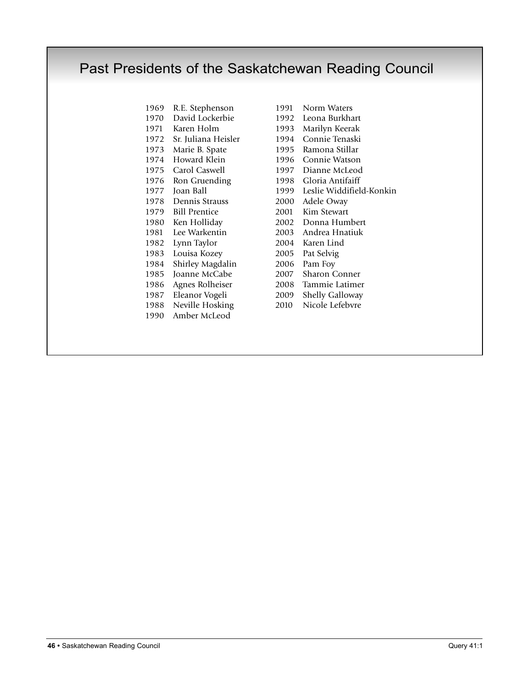# Past Presidents of the Saskatchewan Reading Council

- David Lockerbie 1992 Leona Burkhart Karen Holm 1993 Marilyn Keerak Sr. Juliana Heisler 1994 Connie Tenaski Marie B. Spate 1995 Ramona Stillar Howard Klein 1996 Connie Watson Carol Caswell 1997 Dianne McLeod Ron Gruending 1998 Gloria Antifaiff Dennis Strauss 2000 Adele Oway Bill Prentice 2001 Kim Stewart Ken Holliday 2002 Donna Humbert Lee Warkentin 2003 Andrea Hnatiuk Lynn Taylor 2004 Karen Lind Louisa Kozey 2005 Pat Selvig Shirley Magdalin 2006 Pam Foy Joanne McCabe 2007 Sharon Conner Agnes Rolheiser 2008 Tammie Latimer 1987 Eleanor Vogeli 2009 Shelly Galloway<br>1988 Neville Hosking 2010 Nicole Lefebvre 1988 Neville Hosking 2010 Amber McLeod
- R.E. Stephenson 1991 Norm Waters Joan Ball 1999 Leslie Widdifield-Konkin